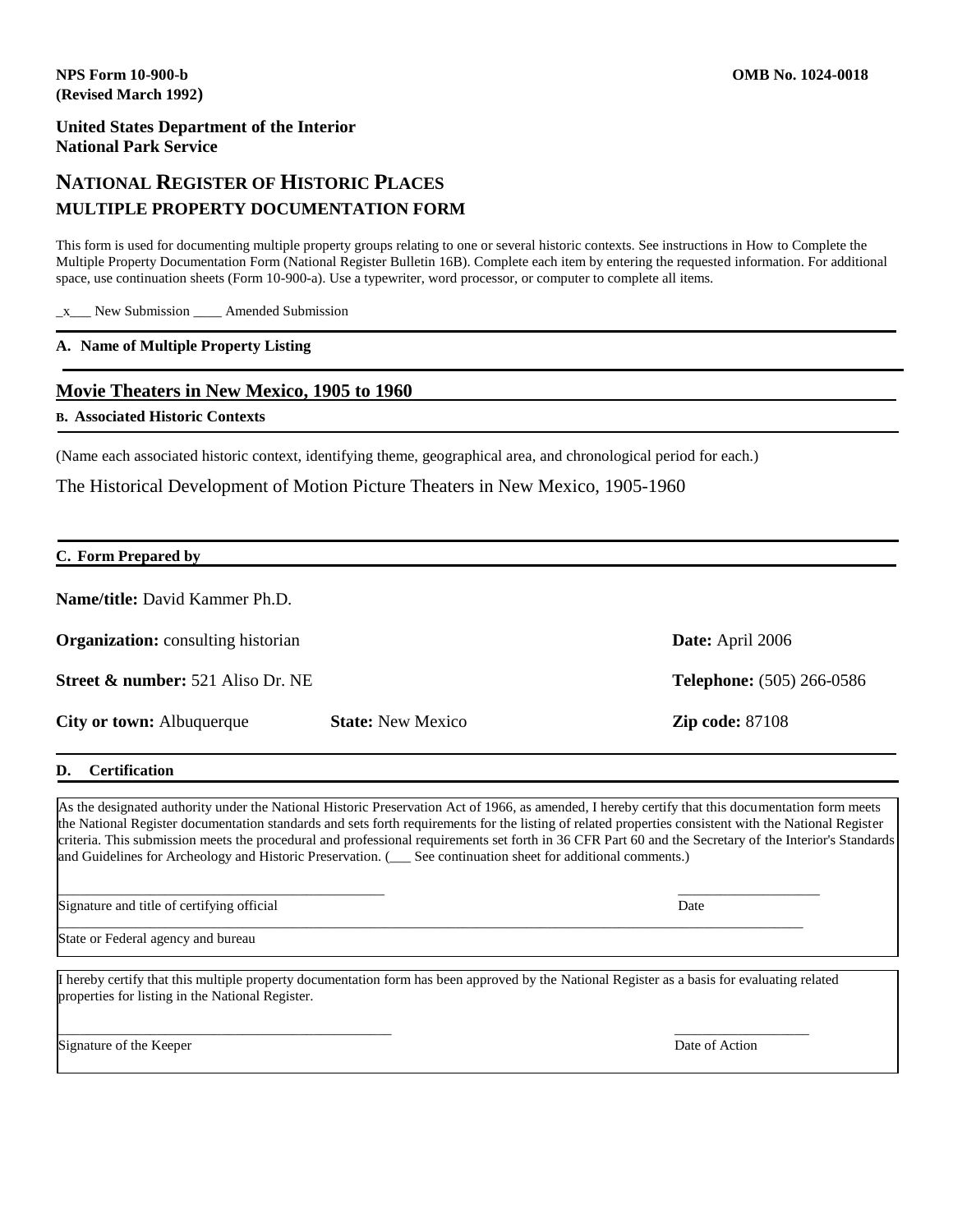# **NATIONAL REGISTER OF HISTORIC PLACES MULTIPLE PROPERTY DOCUMENTATION FORM**

This form is used for documenting multiple property groups relating to one or several historic contexts. See instructions in How to Complete the Multiple Property Documentation Form (National Register Bulletin 16B). Complete each item by entering the requested information. For additional space, use continuation sheets (Form 10-900-a). Use a typewriter, word processor, or computer to complete all items.

\_x\_\_\_ New Submission \_\_\_\_ Amended Submission

#### **A. Name of Multiple Property Listing**

#### **Movie Theaters in New Mexico, 1905 to 1960**

#### **B. Associated Historic Contexts**

(Name each associated historic context, identifying theme, geographical area, and chronological period for each.)

The Historical Development of Motion Picture Theaters in New Mexico, 1905-1960

| C. Form Prepared by                          |                          |                                  |
|----------------------------------------------|--------------------------|----------------------------------|
| <b>Name/title:</b> David Kammer Ph.D.        |                          |                                  |
| <b>Organization:</b> consulting historian    |                          | <b>Date:</b> April 2006          |
| <b>Street &amp; number:</b> 521 Aliso Dr. NE |                          | <b>Telephone:</b> (505) 266-0586 |
| <b>City or town:</b> Albuquerque             | <b>State:</b> New Mexico | <b>Zip code: 87108</b>           |

#### **D. Certification**

As the designated authority under the National Historic Preservation Act of 1966, as amended, I hereby certify that this documentation form meets the National Register documentation standards and sets forth requirements for the listing of related properties consistent with the National Register criteria. This submission meets the procedural and professional requirements set forth in 36 CFR Part 60 and the Secretary of the Interior's Standards and Guidelines for Archeology and Historic Preservation. (\_\_\_ See continuation sheet for additional comments.)

 $\overline{\phantom{a}}$  , and the contract of the contract of the contract of the contract of the contract of the contract of the contract of the contract of the contract of the contract of the contract of the contract of the contrac Signature and title of certifying official Date Date of  $\Box$ 

State or Federal agency and bureau

I hereby certify that this multiple property documentation form has been approved by the National Register as a basis for evaluating related properties for listing in the National Register.

\_\_\_\_\_\_\_\_\_\_\_\_\_\_\_\_\_\_\_\_\_\_\_\_\_\_\_\_\_\_\_\_\_\_\_\_\_\_\_\_\_\_\_\_\_\_\_\_\_\_\_\_\_\_\_\_\_\_\_\_\_\_\_\_\_\_\_\_\_\_\_\_\_\_\_\_\_\_\_\_\_\_\_\_\_\_\_\_\_\_\_\_\_\_\_\_\_\_\_\_\_\_\_\_\_

\_\_\_\_\_\_\_\_\_\_\_\_\_\_\_\_\_\_\_\_\_\_\_\_\_\_\_\_\_\_\_\_\_\_\_\_\_\_\_\_\_\_\_\_\_\_\_ \_\_\_\_\_\_\_\_\_\_\_\_\_\_\_\_\_\_\_

Signature of the Keeper Date of Action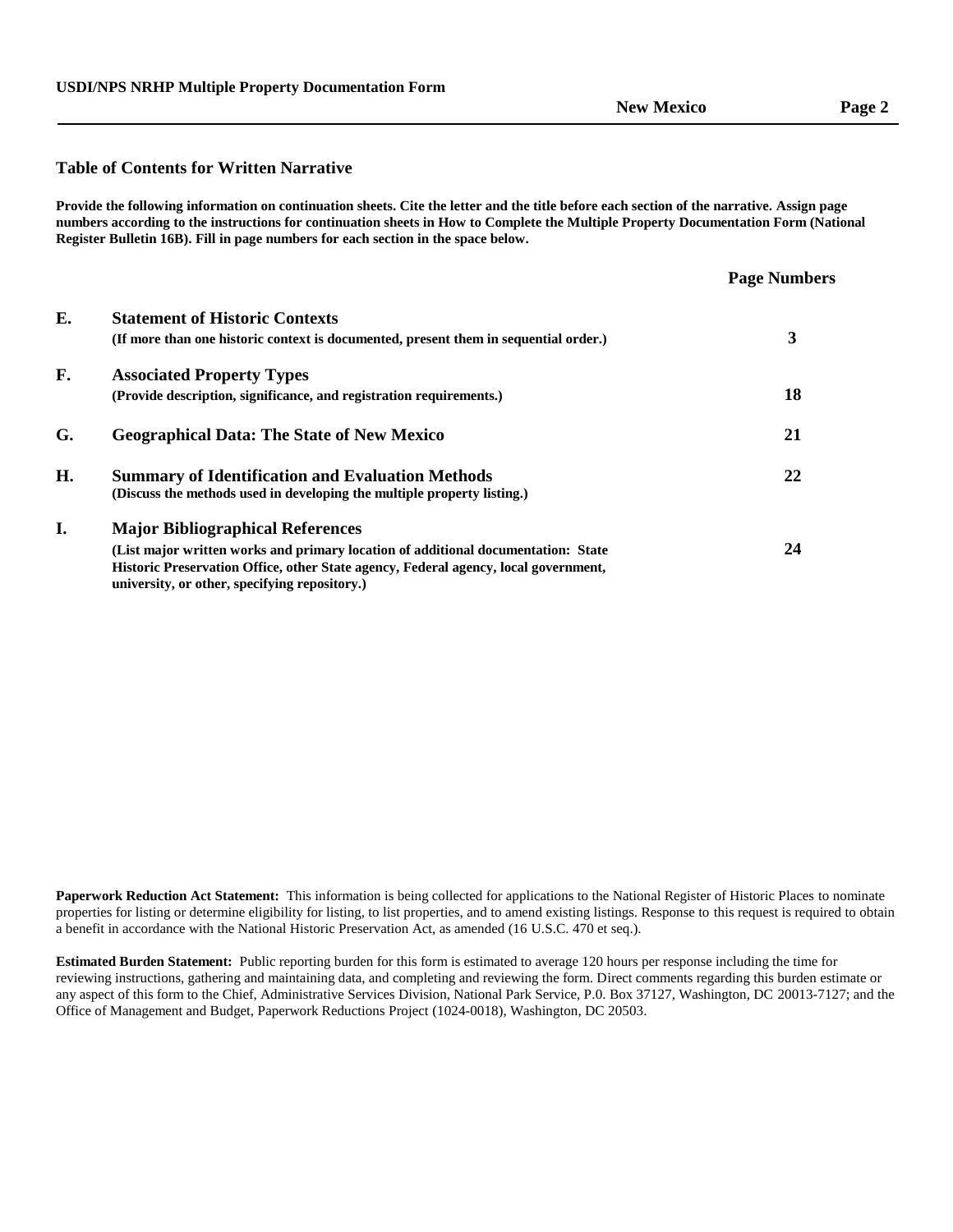#### **Table of Contents for Written Narrative**

**Provide the following information on continuation sheets. Cite the letter and the title before each section of the narrative. Assign page numbers according to the instructions for continuation sheets in How to Complete the Multiple Property Documentation Form (National Register Bulletin 16B). Fill in page numbers for each section in the space below.**

|                                                                                                                                                                                                                           | <b>Page Numbers</b> |
|---------------------------------------------------------------------------------------------------------------------------------------------------------------------------------------------------------------------------|---------------------|
| <b>Statement of Historic Contexts</b>                                                                                                                                                                                     |                     |
| (If more than one historic context is documented, present them in sequential order.)                                                                                                                                      | 3                   |
| <b>Associated Property Types</b>                                                                                                                                                                                          |                     |
| (Provide description, significance, and registration requirements.)                                                                                                                                                       | 18                  |
| <b>Geographical Data: The State of New Mexico</b>                                                                                                                                                                         | 21                  |
| <b>Summary of Identification and Evaluation Methods</b>                                                                                                                                                                   | 22                  |
| (Discuss the methods used in developing the multiple property listing.)                                                                                                                                                   |                     |
| <b>Major Bibliographical References</b>                                                                                                                                                                                   |                     |
| (List major written works and primary location of additional documentation: State<br>Historic Preservation Office, other State agency, Federal agency, local government,<br>university, or other, specifying repository.) | 24                  |
|                                                                                                                                                                                                                           |                     |

**Paperwork Reduction Act Statement:** This information is being collected for applications to the National Register of Historic Places to nominate properties for listing or determine eligibility for listing, to list properties, and to amend existing listings. Response to this request is required to obtain a benefit in accordance with the National Historic Preservation Act, as amended (16 U.S.C. 470 et seq.).

**Estimated Burden Statement:** Public reporting burden for this form is estimated to average 120 hours per response including the time for reviewing instructions, gathering and maintaining data, and completing and reviewing the form. Direct comments regarding this burden estimate or any aspect of this form to the Chief, Administrative Services Division, National Park Service, P.0. Box 37127, Washington, DC 20013-7127; and the Office of Management and Budget, Paperwork Reductions Project (1024-0018), Washington, DC 20503.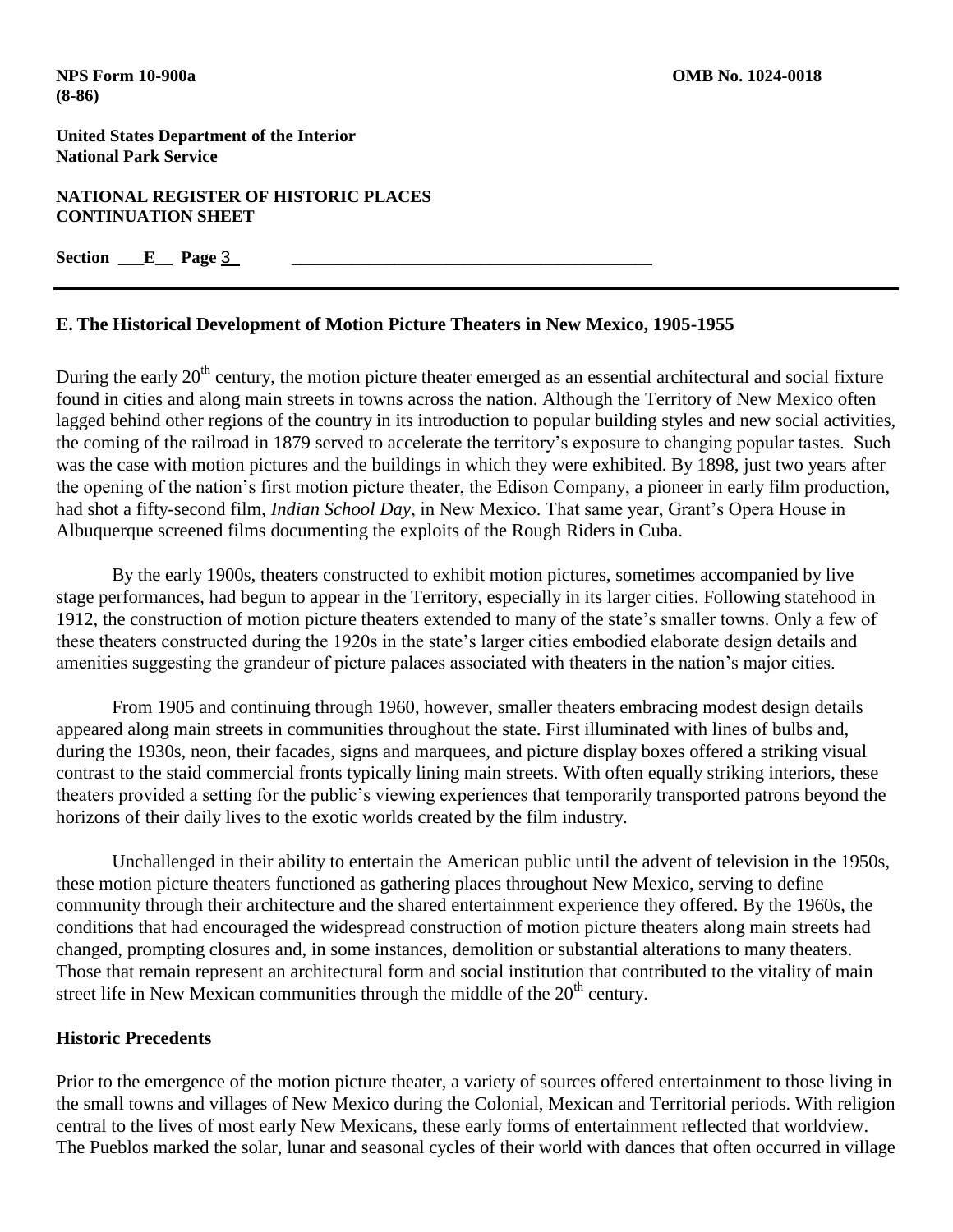**NATIONAL REGISTER OF HISTORIC PLACES CONTINUATION SHEET**

**Section \_\_\_E\_\_ Page** 3 **\_\_\_\_\_\_\_\_\_\_\_\_\_\_\_\_\_\_\_\_\_\_\_\_\_\_\_\_\_\_\_\_\_\_\_\_\_\_\_\_\_\_**

## **E. The Historical Development of Motion Picture Theaters in New Mexico, 1905-1955**

During the early  $20<sup>th</sup>$  century, the motion picture theater emerged as an essential architectural and social fixture found in cities and along main streets in towns across the nation. Although the Territory of New Mexico often lagged behind other regions of the country in its introduction to popular building styles and new social activities, the coming of the railroad in 1879 served to accelerate the territory's exposure to changing popular tastes. Such was the case with motion pictures and the buildings in which they were exhibited. By 1898, just two years after the opening of the nation's first motion picture theater, the Edison Company, a pioneer in early film production, had shot a fifty-second film, *Indian School Day*, in New Mexico. That same year, Grant's Opera House in Albuquerque screened films documenting the exploits of the Rough Riders in Cuba.

By the early 1900s, theaters constructed to exhibit motion pictures, sometimes accompanied by live stage performances, had begun to appear in the Territory, especially in its larger cities. Following statehood in 1912, the construction of motion picture theaters extended to many of the state's smaller towns. Only a few of these theaters constructed during the 1920s in the state's larger cities embodied elaborate design details and amenities suggesting the grandeur of picture palaces associated with theaters in the nation's major cities.

From 1905 and continuing through 1960, however, smaller theaters embracing modest design details appeared along main streets in communities throughout the state. First illuminated with lines of bulbs and, during the 1930s, neon, their facades, signs and marquees, and picture display boxes offered a striking visual contrast to the staid commercial fronts typically lining main streets. With often equally striking interiors, these theaters provided a setting for the public's viewing experiences that temporarily transported patrons beyond the horizons of their daily lives to the exotic worlds created by the film industry.

Unchallenged in their ability to entertain the American public until the advent of television in the 1950s, these motion picture theaters functioned as gathering places throughout New Mexico, serving to define community through their architecture and the shared entertainment experience they offered. By the 1960s, the conditions that had encouraged the widespread construction of motion picture theaters along main streets had changed, prompting closures and, in some instances, demolition or substantial alterations to many theaters. Those that remain represent an architectural form and social institution that contributed to the vitality of main street life in New Mexican communities through the middle of the  $20<sup>th</sup>$  century.

## **Historic Precedents**

Prior to the emergence of the motion picture theater, a variety of sources offered entertainment to those living in the small towns and villages of New Mexico during the Colonial, Mexican and Territorial periods. With religion central to the lives of most early New Mexicans, these early forms of entertainment reflected that worldview. The Pueblos marked the solar, lunar and seasonal cycles of their world with dances that often occurred in village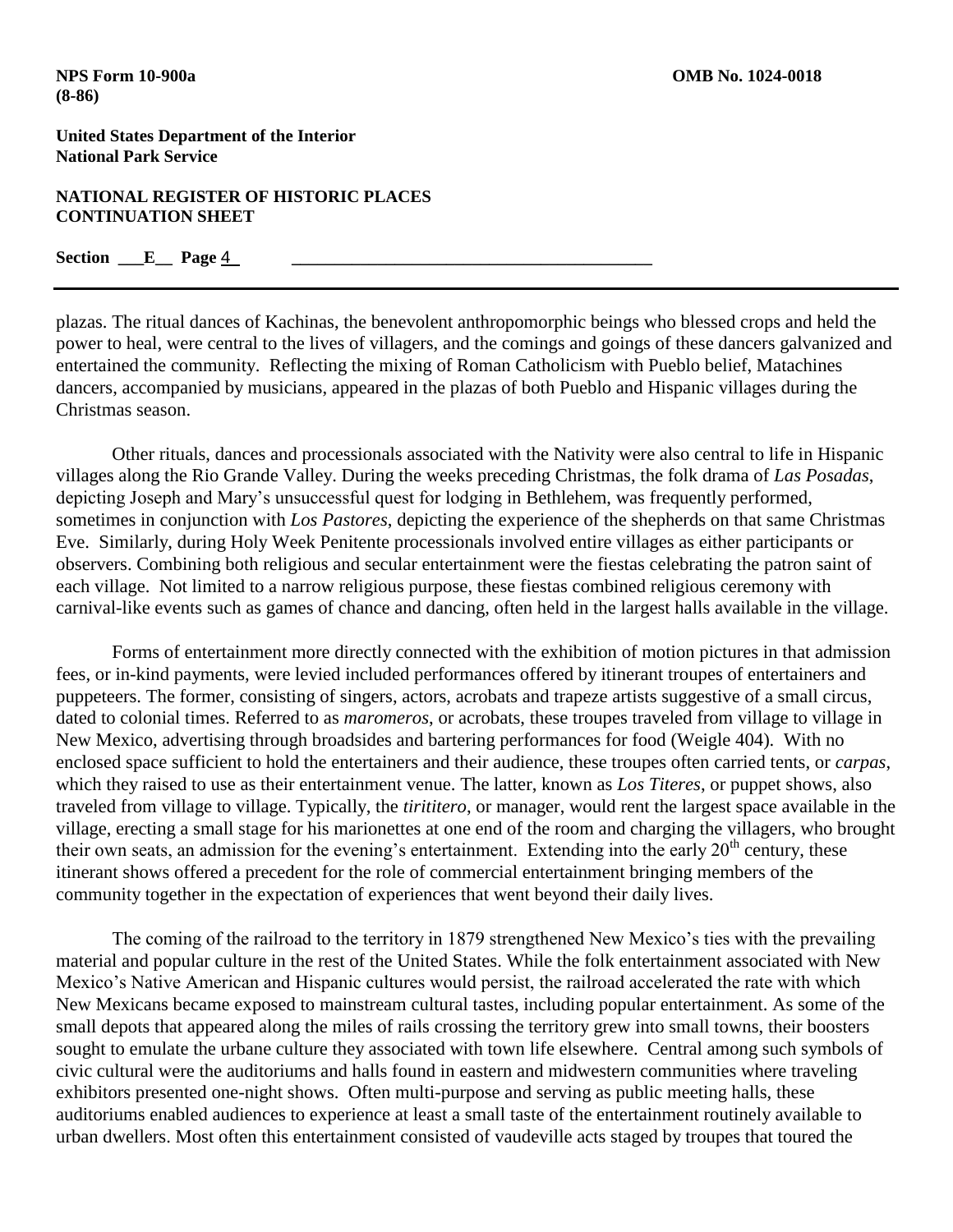#### **NATIONAL REGISTER OF HISTORIC PLACES CONTINUATION SHEET**

### **Section \_\_\_E\_\_ Page** 4 **\_\_\_\_\_\_\_\_\_\_\_\_\_\_\_\_\_\_\_\_\_\_\_\_\_\_\_\_\_\_\_\_\_\_\_\_\_\_\_\_\_\_**

plazas. The ritual dances of Kachinas, the benevolent anthropomorphic beings who blessed crops and held the power to heal, were central to the lives of villagers, and the comings and goings of these dancers galvanized and entertained the community. Reflecting the mixing of Roman Catholicism with Pueblo belief, Matachines dancers, accompanied by musicians, appeared in the plazas of both Pueblo and Hispanic villages during the Christmas season.

Other rituals, dances and processionals associated with the Nativity were also central to life in Hispanic villages along the Rio Grande Valley. During the weeks preceding Christmas, the folk drama of *Las Posadas*, depicting Joseph and Mary's unsuccessful quest for lodging in Bethlehem, was frequently performed, sometimes in conjunction with *Los Pastores*, depicting the experience of the shepherds on that same Christmas Eve. Similarly, during Holy Week Penitente processionals involved entire villages as either participants or observers. Combining both religious and secular entertainment were the fiestas celebrating the patron saint of each village. Not limited to a narrow religious purpose, these fiestas combined religious ceremony with carnival-like events such as games of chance and dancing, often held in the largest halls available in the village.

Forms of entertainment more directly connected with the exhibition of motion pictures in that admission fees, or in-kind payments, were levied included performances offered by itinerant troupes of entertainers and puppeteers. The former, consisting of singers, actors, acrobats and trapeze artists suggestive of a small circus, dated to colonial times. Referred to as *maromeros*, or acrobats, these troupes traveled from village to village in New Mexico, advertising through broadsides and bartering performances for food (Weigle 404). With no enclosed space sufficient to hold the entertainers and their audience, these troupes often carried tents, or *carpas*, which they raised to use as their entertainment venue. The latter, known as *Los Titeres*, or puppet shows, also traveled from village to village. Typically, the *tirititero*, or manager, would rent the largest space available in the village, erecting a small stage for his marionettes at one end of the room and charging the villagers, who brought their own seats, an admission for the evening's entertainment. Extending into the early 20<sup>th</sup> century, these itinerant shows offered a precedent for the role of commercial entertainment bringing members of the community together in the expectation of experiences that went beyond their daily lives.

The coming of the railroad to the territory in 1879 strengthened New Mexico's ties with the prevailing material and popular culture in the rest of the United States. While the folk entertainment associated with New Mexico's Native American and Hispanic cultures would persist, the railroad accelerated the rate with which New Mexicans became exposed to mainstream cultural tastes, including popular entertainment. As some of the small depots that appeared along the miles of rails crossing the territory grew into small towns, their boosters sought to emulate the urbane culture they associated with town life elsewhere. Central among such symbols of civic cultural were the auditoriums and halls found in eastern and midwestern communities where traveling exhibitors presented one-night shows. Often multi-purpose and serving as public meeting halls, these auditoriums enabled audiences to experience at least a small taste of the entertainment routinely available to urban dwellers. Most often this entertainment consisted of vaudeville acts staged by troupes that toured the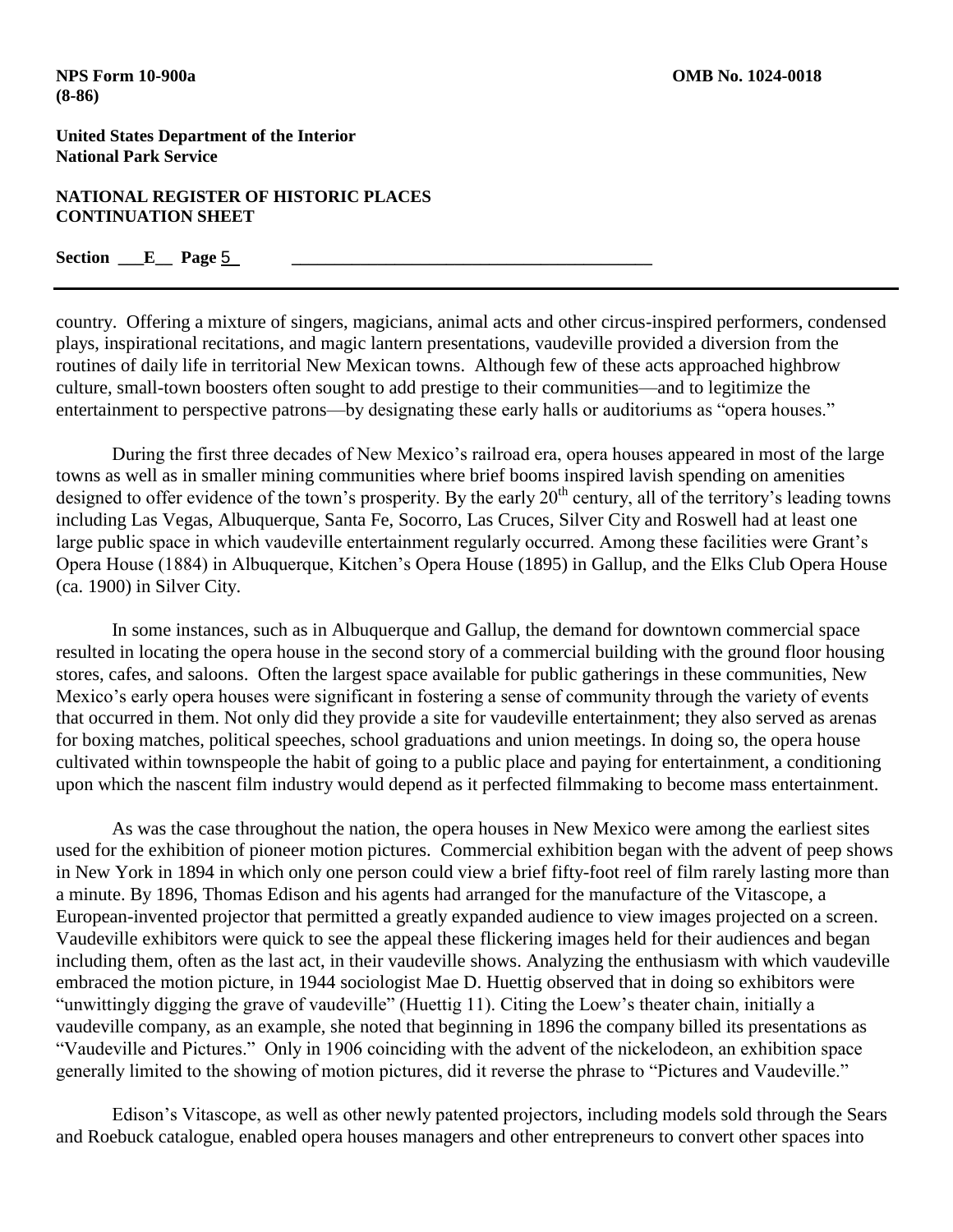#### **NATIONAL REGISTER OF HISTORIC PLACES CONTINUATION SHEET**

## **Section \_\_\_E\_\_ Page** 5 **\_\_\_\_\_\_\_\_\_\_\_\_\_\_\_\_\_\_\_\_\_\_\_\_\_\_\_\_\_\_\_\_\_\_\_\_\_\_\_\_\_\_**

country. Offering a mixture of singers, magicians, animal acts and other circus-inspired performers, condensed plays, inspirational recitations, and magic lantern presentations, vaudeville provided a diversion from the routines of daily life in territorial New Mexican towns. Although few of these acts approached highbrow culture, small-town boosters often sought to add prestige to their communities—and to legitimize the entertainment to perspective patrons—by designating these early halls or auditoriums as "opera houses."

During the first three decades of New Mexico's railroad era, opera houses appeared in most of the large towns as well as in smaller mining communities where brief booms inspired lavish spending on amenities designed to offer evidence of the town's prosperity. By the early  $20<sup>th</sup>$  century, all of the territory's leading towns including Las Vegas, Albuquerque, Santa Fe, Socorro, Las Cruces, Silver City and Roswell had at least one large public space in which vaudeville entertainment regularly occurred. Among these facilities were Grant's Opera House (1884) in Albuquerque, Kitchen's Opera House (1895) in Gallup, and the Elks Club Opera House (ca. 1900) in Silver City.

In some instances, such as in Albuquerque and Gallup, the demand for downtown commercial space resulted in locating the opera house in the second story of a commercial building with the ground floor housing stores, cafes, and saloons. Often the largest space available for public gatherings in these communities, New Mexico's early opera houses were significant in fostering a sense of community through the variety of events that occurred in them. Not only did they provide a site for vaudeville entertainment; they also served as arenas for boxing matches, political speeches, school graduations and union meetings. In doing so, the opera house cultivated within townspeople the habit of going to a public place and paying for entertainment, a conditioning upon which the nascent film industry would depend as it perfected filmmaking to become mass entertainment.

As was the case throughout the nation, the opera houses in New Mexico were among the earliest sites used for the exhibition of pioneer motion pictures. Commercial exhibition began with the advent of peep shows in New York in 1894 in which only one person could view a brief fifty-foot reel of film rarely lasting more than a minute. By 1896, Thomas Edison and his agents had arranged for the manufacture of the Vitascope, a European-invented projector that permitted a greatly expanded audience to view images projected on a screen. Vaudeville exhibitors were quick to see the appeal these flickering images held for their audiences and began including them, often as the last act, in their vaudeville shows. Analyzing the enthusiasm with which vaudeville embraced the motion picture, in 1944 sociologist Mae D. Huettig observed that in doing so exhibitors were "unwittingly digging the grave of vaudeville" (Huettig 11). Citing the Loew's theater chain, initially a vaudeville company, as an example, she noted that beginning in 1896 the company billed its presentations as "Vaudeville and Pictures." Only in 1906 coinciding with the advent of the nickelodeon, an exhibition space generally limited to the showing of motion pictures, did it reverse the phrase to "Pictures and Vaudeville."

Edison's Vitascope, as well as other newly patented projectors, including models sold through the Sears and Roebuck catalogue, enabled opera houses managers and other entrepreneurs to convert other spaces into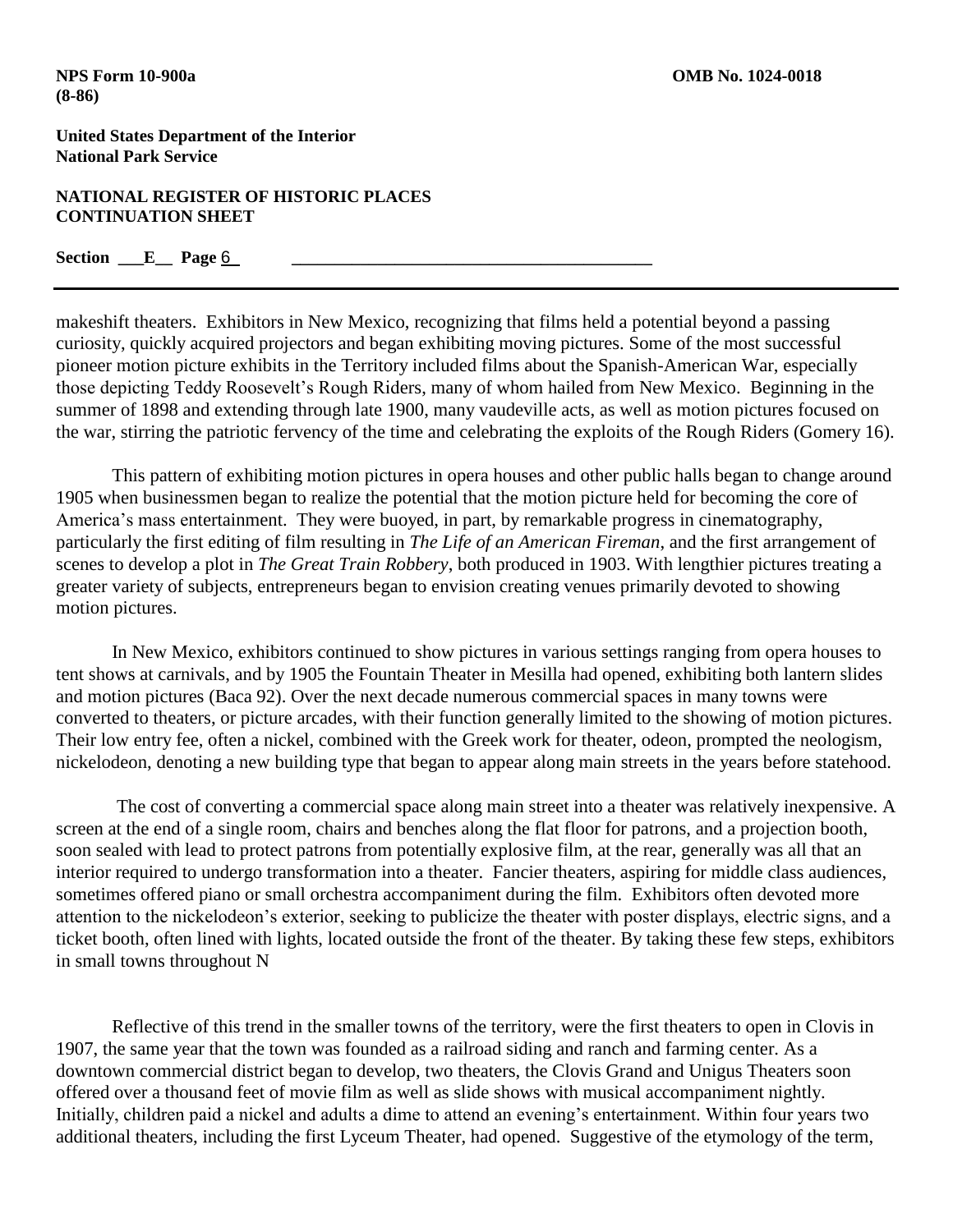### **NATIONAL REGISTER OF HISTORIC PLACES CONTINUATION SHEET**

### Section <u>E</u> Page <u>6</u>

makeshift theaters. Exhibitors in New Mexico, recognizing that films held a potential beyond a passing curiosity, quickly acquired projectors and began exhibiting moving pictures. Some of the most successful pioneer motion picture exhibits in the Territory included films about the Spanish-American War, especially those depicting Teddy Roosevelt's Rough Riders, many of whom hailed from New Mexico. Beginning in the summer of 1898 and extending through late 1900, many vaudeville acts, as well as motion pictures focused on the war, stirring the patriotic fervency of the time and celebrating the exploits of the Rough Riders (Gomery 16).

This pattern of exhibiting motion pictures in opera houses and other public halls began to change around 1905 when businessmen began to realize the potential that the motion picture held for becoming the core of America's mass entertainment. They were buoyed, in part, by remarkable progress in cinematography, particularly the first editing of film resulting in *The Life of an American Fireman*, and the first arrangement of scenes to develop a plot in *The Great Train Robbery*, both produced in 1903. With lengthier pictures treating a greater variety of subjects, entrepreneurs began to envision creating venues primarily devoted to showing motion pictures.

In New Mexico, exhibitors continued to show pictures in various settings ranging from opera houses to tent shows at carnivals, and by 1905 the Fountain Theater in Mesilla had opened, exhibiting both lantern slides and motion pictures (Baca 92). Over the next decade numerous commercial spaces in many towns were converted to theaters, or picture arcades, with their function generally limited to the showing of motion pictures. Their low entry fee, often a nickel, combined with the Greek work for theater, odeon, prompted the neologism, nickelodeon, denoting a new building type that began to appear along main streets in the years before statehood.

The cost of converting a commercial space along main street into a theater was relatively inexpensive. A screen at the end of a single room, chairs and benches along the flat floor for patrons, and a projection booth, soon sealed with lead to protect patrons from potentially explosive film, at the rear, generally was all that an interior required to undergo transformation into a theater. Fancier theaters, aspiring for middle class audiences, sometimes offered piano or small orchestra accompaniment during the film. Exhibitors often devoted more attention to the nickelodeon's exterior, seeking to publicize the theater with poster displays, electric signs, and a ticket booth, often lined with lights, located outside the front of the theater. By taking these few steps, exhibitors in small towns throughout N

Reflective of this trend in the smaller towns of the territory, were the first theaters to open in Clovis in 1907, the same year that the town was founded as a railroad siding and ranch and farming center. As a downtown commercial district began to develop, two theaters, the Clovis Grand and Unigus Theaters soon offered over a thousand feet of movie film as well as slide shows with musical accompaniment nightly. Initially, children paid a nickel and adults a dime to attend an evening's entertainment. Within four years two additional theaters, including the first Lyceum Theater, had opened. Suggestive of the etymology of the term,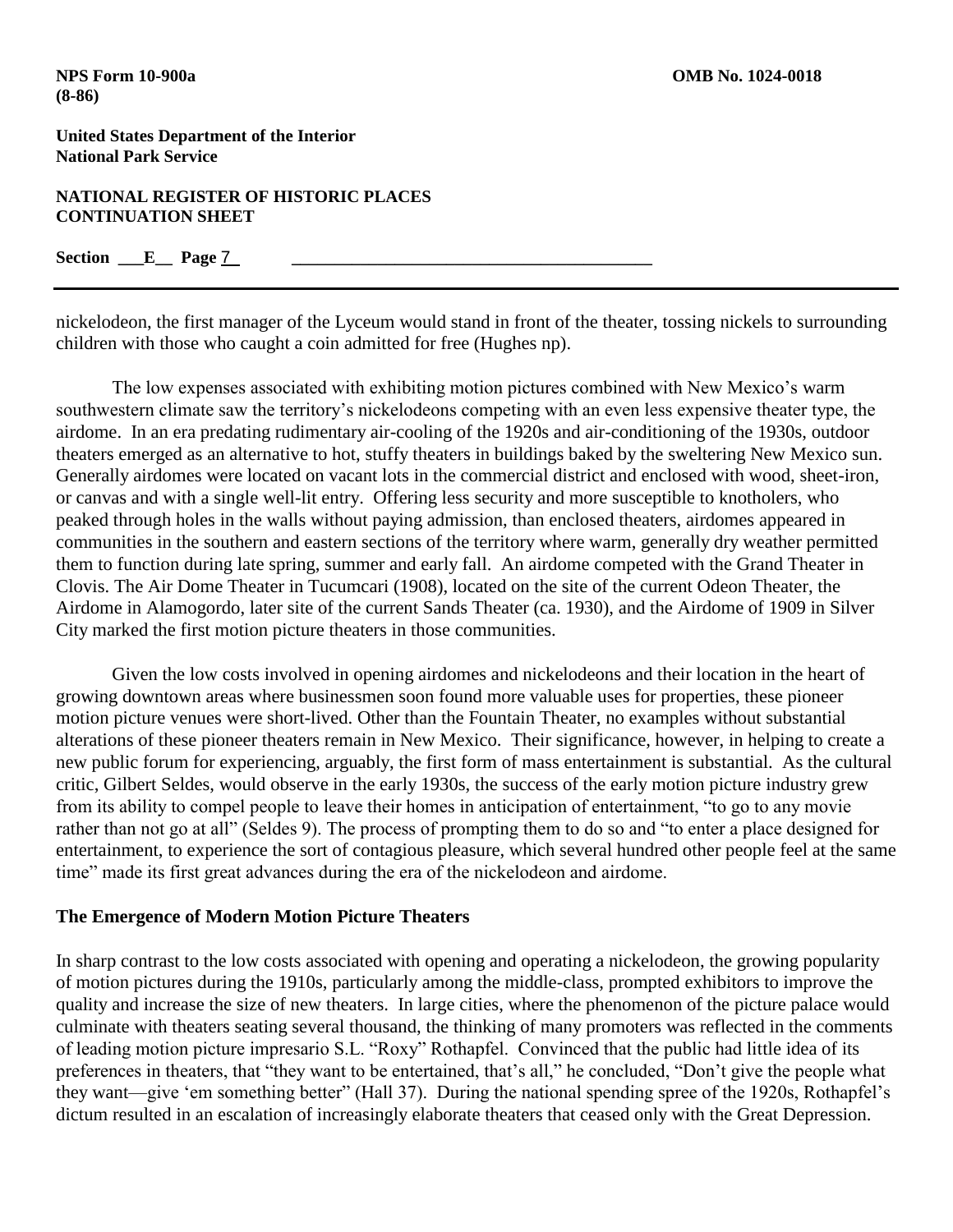**NATIONAL REGISTER OF HISTORIC PLACES CONTINUATION SHEET**

**Section \_\_\_E\_\_ Page** 7 **\_\_\_\_\_\_\_\_\_\_\_\_\_\_\_\_\_\_\_\_\_\_\_\_\_\_\_\_\_\_\_\_\_\_\_\_\_\_\_\_\_\_**

nickelodeon, the first manager of the Lyceum would stand in front of the theater, tossing nickels to surrounding children with those who caught a coin admitted for free (Hughes np).

The low expenses associated with exhibiting motion pictures combined with New Mexico's warm southwestern climate saw the territory's nickelodeons competing with an even less expensive theater type, the airdome. In an era predating rudimentary air-cooling of the 1920s and air-conditioning of the 1930s, outdoor theaters emerged as an alternative to hot, stuffy theaters in buildings baked by the sweltering New Mexico sun. Generally airdomes were located on vacant lots in the commercial district and enclosed with wood, sheet-iron, or canvas and with a single well-lit entry. Offering less security and more susceptible to knotholers, who peaked through holes in the walls without paying admission, than enclosed theaters, airdomes appeared in communities in the southern and eastern sections of the territory where warm, generally dry weather permitted them to function during late spring, summer and early fall. An airdome competed with the Grand Theater in Clovis. The Air Dome Theater in Tucumcari (1908), located on the site of the current Odeon Theater, the Airdome in Alamogordo, later site of the current Sands Theater (ca. 1930), and the Airdome of 1909 in Silver City marked the first motion picture theaters in those communities.

Given the low costs involved in opening airdomes and nickelodeons and their location in the heart of growing downtown areas where businessmen soon found more valuable uses for properties, these pioneer motion picture venues were short-lived. Other than the Fountain Theater, no examples without substantial alterations of these pioneer theaters remain in New Mexico. Their significance, however, in helping to create a new public forum for experiencing, arguably, the first form of mass entertainment is substantial. As the cultural critic, Gilbert Seldes, would observe in the early 1930s, the success of the early motion picture industry grew from its ability to compel people to leave their homes in anticipation of entertainment, "to go to any movie rather than not go at all" (Seldes 9). The process of prompting them to do so and "to enter a place designed for entertainment, to experience the sort of contagious pleasure, which several hundred other people feel at the same time" made its first great advances during the era of the nickelodeon and airdome.

## **The Emergence of Modern Motion Picture Theaters**

In sharp contrast to the low costs associated with opening and operating a nickelodeon, the growing popularity of motion pictures during the 1910s, particularly among the middle-class, prompted exhibitors to improve the quality and increase the size of new theaters. In large cities, where the phenomenon of the picture palace would culminate with theaters seating several thousand, the thinking of many promoters was reflected in the comments of leading motion picture impresario S.L. "Roxy" Rothapfel. Convinced that the public had little idea of its preferences in theaters, that "they want to be entertained, that's all," he concluded, "Don't give the people what they want—give 'em something better" (Hall 37). During the national spending spree of the 1920s, Rothapfel's dictum resulted in an escalation of increasingly elaborate theaters that ceased only with the Great Depression.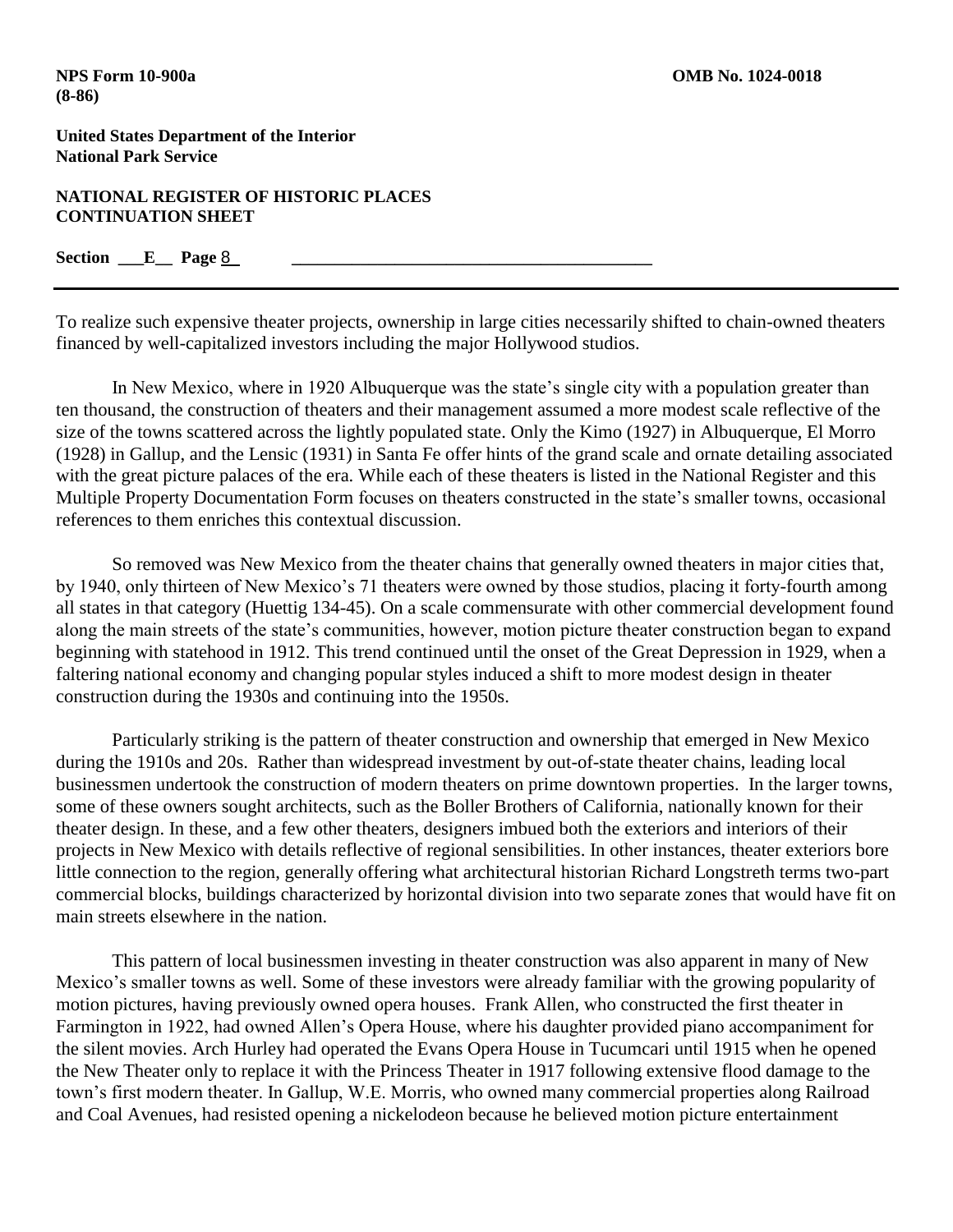**NATIONAL REGISTER OF HISTORIC PLACES CONTINUATION SHEET**

## $Section \_ E \_ \text{Page 8}$

To realize such expensive theater projects, ownership in large cities necessarily shifted to chain-owned theaters financed by well-capitalized investors including the major Hollywood studios.

In New Mexico, where in 1920 Albuquerque was the state's single city with a population greater than ten thousand, the construction of theaters and their management assumed a more modest scale reflective of the size of the towns scattered across the lightly populated state. Only the Kimo (1927) in Albuquerque, El Morro (1928) in Gallup, and the Lensic (1931) in Santa Fe offer hints of the grand scale and ornate detailing associated with the great picture palaces of the era. While each of these theaters is listed in the National Register and this Multiple Property Documentation Form focuses on theaters constructed in the state's smaller towns, occasional references to them enriches this contextual discussion.

So removed was New Mexico from the theater chains that generally owned theaters in major cities that, by 1940, only thirteen of New Mexico's 71 theaters were owned by those studios, placing it forty-fourth among all states in that category (Huettig 134-45). On a scale commensurate with other commercial development found along the main streets of the state's communities, however, motion picture theater construction began to expand beginning with statehood in 1912. This trend continued until the onset of the Great Depression in 1929, when a faltering national economy and changing popular styles induced a shift to more modest design in theater construction during the 1930s and continuing into the 1950s.

Particularly striking is the pattern of theater construction and ownership that emerged in New Mexico during the 1910s and 20s. Rather than widespread investment by out-of-state theater chains, leading local businessmen undertook the construction of modern theaters on prime downtown properties. In the larger towns, some of these owners sought architects, such as the Boller Brothers of California, nationally known for their theater design. In these, and a few other theaters, designers imbued both the exteriors and interiors of their projects in New Mexico with details reflective of regional sensibilities. In other instances, theater exteriors bore little connection to the region, generally offering what architectural historian Richard Longstreth terms two-part commercial blocks, buildings characterized by horizontal division into two separate zones that would have fit on main streets elsewhere in the nation.

This pattern of local businessmen investing in theater construction was also apparent in many of New Mexico's smaller towns as well. Some of these investors were already familiar with the growing popularity of motion pictures, having previously owned opera houses. Frank Allen, who constructed the first theater in Farmington in 1922, had owned Allen's Opera House, where his daughter provided piano accompaniment for the silent movies. Arch Hurley had operated the Evans Opera House in Tucumcari until 1915 when he opened the New Theater only to replace it with the Princess Theater in 1917 following extensive flood damage to the town's first modern theater. In Gallup, W.E. Morris, who owned many commercial properties along Railroad and Coal Avenues, had resisted opening a nickelodeon because he believed motion picture entertainment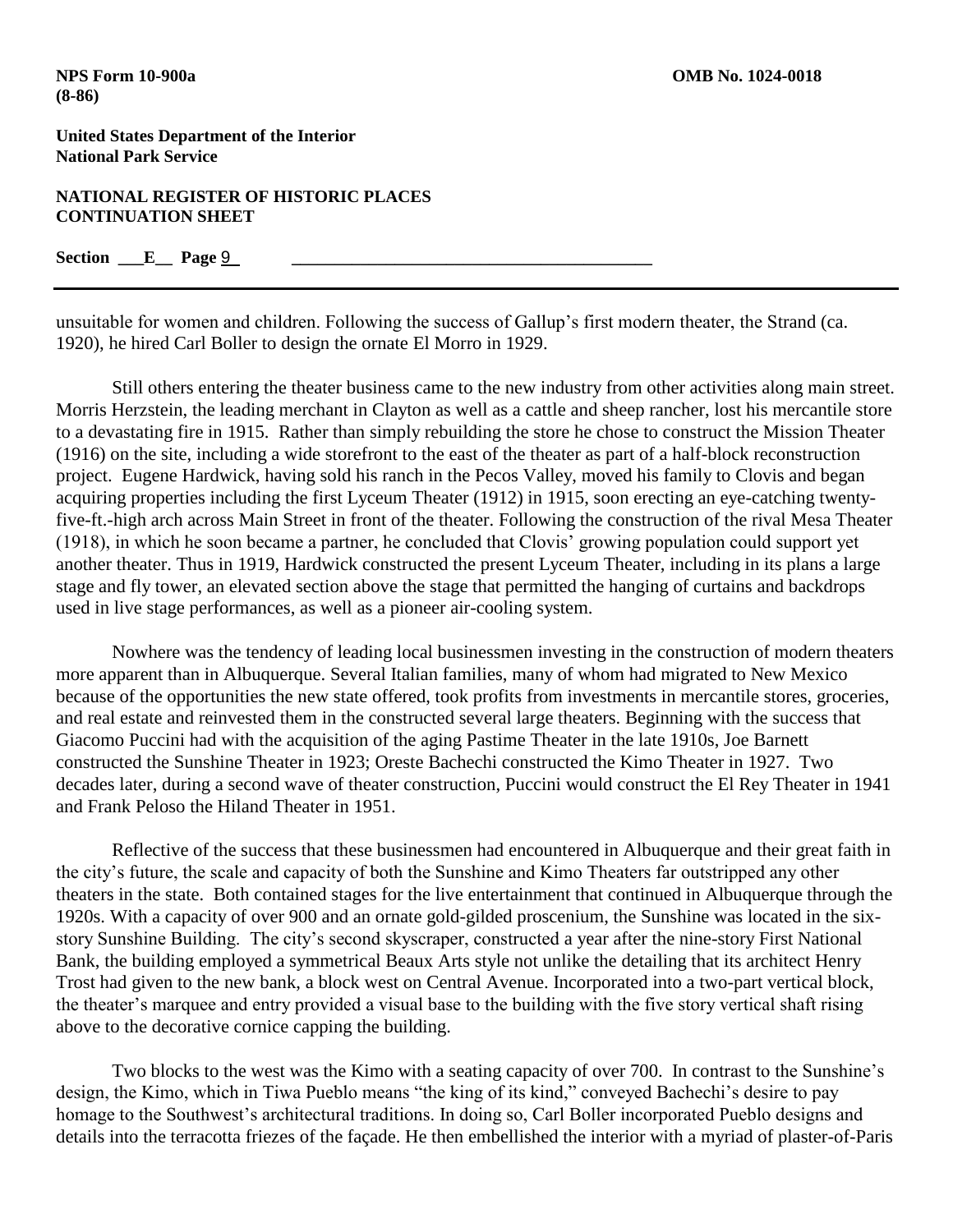#### **NATIONAL REGISTER OF HISTORIC PLACES CONTINUATION SHEET**

### Section <u>E</u> Page <u>9</u>

unsuitable for women and children. Following the success of Gallup's first modern theater, the Strand (ca. 1920), he hired Carl Boller to design the ornate El Morro in 1929.

Still others entering the theater business came to the new industry from other activities along main street. Morris Herzstein, the leading merchant in Clayton as well as a cattle and sheep rancher, lost his mercantile store to a devastating fire in 1915. Rather than simply rebuilding the store he chose to construct the Mission Theater (1916) on the site, including a wide storefront to the east of the theater as part of a half-block reconstruction project. Eugene Hardwick, having sold his ranch in the Pecos Valley, moved his family to Clovis and began acquiring properties including the first Lyceum Theater (1912) in 1915, soon erecting an eye-catching twentyfive-ft.-high arch across Main Street in front of the theater. Following the construction of the rival Mesa Theater (1918), in which he soon became a partner, he concluded that Clovis' growing population could support yet another theater. Thus in 1919, Hardwick constructed the present Lyceum Theater, including in its plans a large stage and fly tower, an elevated section above the stage that permitted the hanging of curtains and backdrops used in live stage performances, as well as a pioneer air-cooling system.

Nowhere was the tendency of leading local businessmen investing in the construction of modern theaters more apparent than in Albuquerque. Several Italian families, many of whom had migrated to New Mexico because of the opportunities the new state offered, took profits from investments in mercantile stores, groceries, and real estate and reinvested them in the constructed several large theaters. Beginning with the success that Giacomo Puccini had with the acquisition of the aging Pastime Theater in the late 1910s, Joe Barnett constructed the Sunshine Theater in 1923; Oreste Bachechi constructed the Kimo Theater in 1927. Two decades later, during a second wave of theater construction, Puccini would construct the El Rey Theater in 1941 and Frank Peloso the Hiland Theater in 1951.

Reflective of the success that these businessmen had encountered in Albuquerque and their great faith in the city's future, the scale and capacity of both the Sunshine and Kimo Theaters far outstripped any other theaters in the state. Both contained stages for the live entertainment that continued in Albuquerque through the 1920s. With a capacity of over 900 and an ornate gold-gilded proscenium, the Sunshine was located in the sixstory Sunshine Building. The city's second skyscraper, constructed a year after the nine-story First National Bank, the building employed a symmetrical Beaux Arts style not unlike the detailing that its architect Henry Trost had given to the new bank, a block west on Central Avenue. Incorporated into a two-part vertical block, the theater's marquee and entry provided a visual base to the building with the five story vertical shaft rising above to the decorative cornice capping the building.

Two blocks to the west was the Kimo with a seating capacity of over 700. In contrast to the Sunshine's design, the Kimo, which in Tiwa Pueblo means "the king of its kind," conveyed Bachechi's desire to pay homage to the Southwest's architectural traditions. In doing so, Carl Boller incorporated Pueblo designs and details into the terracotta friezes of the façade. He then embellished the interior with a myriad of plaster-of-Paris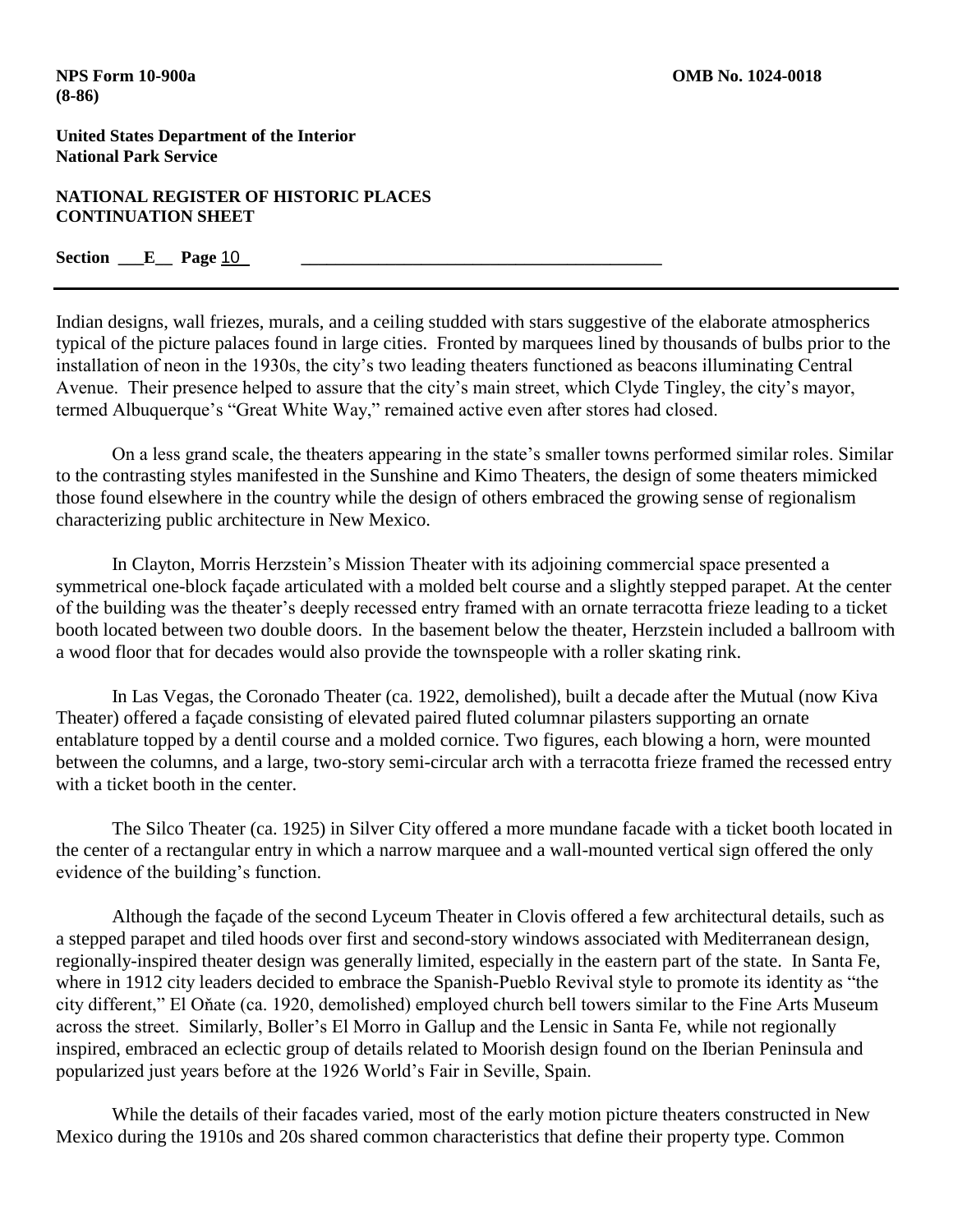**NATIONAL REGISTER OF HISTORIC PLACES CONTINUATION SHEET**

**Section \_\_\_E\_\_ Page** 10 **\_\_\_\_\_\_\_\_\_\_\_\_\_\_\_\_\_\_\_\_\_\_\_\_\_\_\_\_\_\_\_\_\_\_\_\_\_\_\_\_\_\_**

Indian designs, wall friezes, murals, and a ceiling studded with stars suggestive of the elaborate atmospherics typical of the picture palaces found in large cities. Fronted by marquees lined by thousands of bulbs prior to the installation of neon in the 1930s, the city's two leading theaters functioned as beacons illuminating Central Avenue. Their presence helped to assure that the city's main street, which Clyde Tingley, the city's mayor, termed Albuquerque's "Great White Way," remained active even after stores had closed.

On a less grand scale, the theaters appearing in the state's smaller towns performed similar roles. Similar to the contrasting styles manifested in the Sunshine and Kimo Theaters, the design of some theaters mimicked those found elsewhere in the country while the design of others embraced the growing sense of regionalism characterizing public architecture in New Mexico.

In Clayton, Morris Herzstein's Mission Theater with its adjoining commercial space presented a symmetrical one-block façade articulated with a molded belt course and a slightly stepped parapet. At the center of the building was the theater's deeply recessed entry framed with an ornate terracotta frieze leading to a ticket booth located between two double doors. In the basement below the theater, Herzstein included a ballroom with a wood floor that for decades would also provide the townspeople with a roller skating rink.

In Las Vegas, the Coronado Theater (ca. 1922, demolished), built a decade after the Mutual (now Kiva Theater) offered a façade consisting of elevated paired fluted columnar pilasters supporting an ornate entablature topped by a dentil course and a molded cornice. Two figures, each blowing a horn, were mounted between the columns, and a large, two-story semi-circular arch with a terracotta frieze framed the recessed entry with a ticket booth in the center.

The Silco Theater (ca. 1925) in Silver City offered a more mundane facade with a ticket booth located in the center of a rectangular entry in which a narrow marquee and a wall-mounted vertical sign offered the only evidence of the building's function.

Although the façade of the second Lyceum Theater in Clovis offered a few architectural details, such as a stepped parapet and tiled hoods over first and second-story windows associated with Mediterranean design, regionally-inspired theater design was generally limited, especially in the eastern part of the state. In Santa Fe, where in 1912 city leaders decided to embrace the Spanish-Pueblo Revival style to promote its identity as "the city different," El Oňate (ca. 1920, demolished) employed church bell towers similar to the Fine Arts Museum across the street. Similarly, Boller's El Morro in Gallup and the Lensic in Santa Fe, while not regionally inspired, embraced an eclectic group of details related to Moorish design found on the Iberian Peninsula and popularized just years before at the 1926 World's Fair in Seville, Spain.

While the details of their facades varied, most of the early motion picture theaters constructed in New Mexico during the 1910s and 20s shared common characteristics that define their property type. Common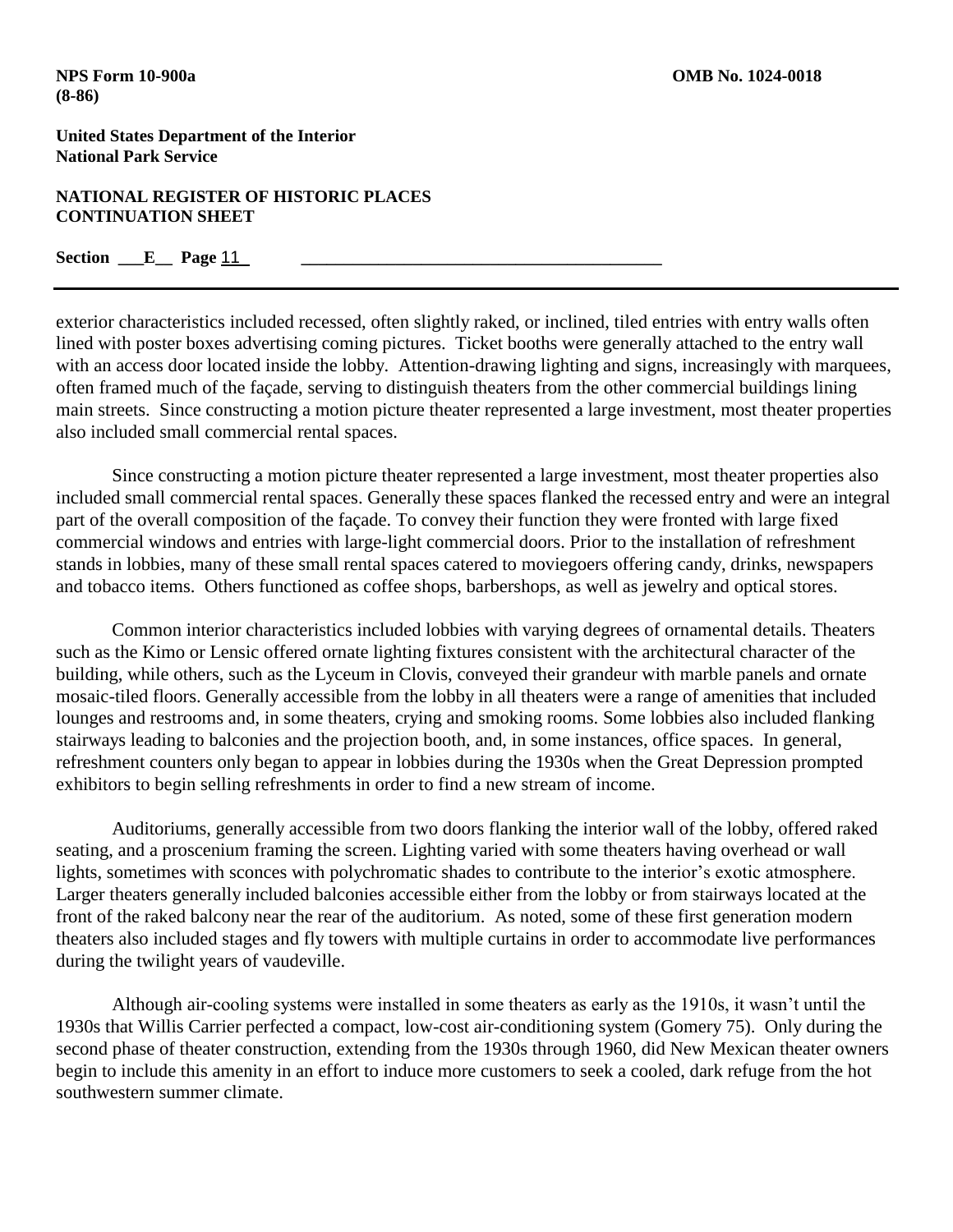### **NATIONAL REGISTER OF HISTORIC PLACES CONTINUATION SHEET**

## **Section \_\_\_E\_\_\_ Page 11**

exterior characteristics included recessed, often slightly raked, or inclined, tiled entries with entry walls often lined with poster boxes advertising coming pictures. Ticket booths were generally attached to the entry wall with an access door located inside the lobby. Attention-drawing lighting and signs, increasingly with marquees, often framed much of the façade, serving to distinguish theaters from the other commercial buildings lining main streets. Since constructing a motion picture theater represented a large investment, most theater properties also included small commercial rental spaces.

Since constructing a motion picture theater represented a large investment, most theater properties also included small commercial rental spaces. Generally these spaces flanked the recessed entry and were an integral part of the overall composition of the façade. To convey their function they were fronted with large fixed commercial windows and entries with large-light commercial doors. Prior to the installation of refreshment stands in lobbies, many of these small rental spaces catered to moviegoers offering candy, drinks, newspapers and tobacco items. Others functioned as coffee shops, barbershops, as well as jewelry and optical stores.

Common interior characteristics included lobbies with varying degrees of ornamental details. Theaters such as the Kimo or Lensic offered ornate lighting fixtures consistent with the architectural character of the building, while others, such as the Lyceum in Clovis, conveyed their grandeur with marble panels and ornate mosaic-tiled floors. Generally accessible from the lobby in all theaters were a range of amenities that included lounges and restrooms and, in some theaters, crying and smoking rooms. Some lobbies also included flanking stairways leading to balconies and the projection booth, and, in some instances, office spaces. In general, refreshment counters only began to appear in lobbies during the 1930s when the Great Depression prompted exhibitors to begin selling refreshments in order to find a new stream of income.

Auditoriums, generally accessible from two doors flanking the interior wall of the lobby, offered raked seating, and a proscenium framing the screen. Lighting varied with some theaters having overhead or wall lights, sometimes with sconces with polychromatic shades to contribute to the interior's exotic atmosphere. Larger theaters generally included balconies accessible either from the lobby or from stairways located at the front of the raked balcony near the rear of the auditorium. As noted, some of these first generation modern theaters also included stages and fly towers with multiple curtains in order to accommodate live performances during the twilight years of vaudeville.

Although air-cooling systems were installed in some theaters as early as the 1910s, it wasn't until the 1930s that Willis Carrier perfected a compact, low-cost air-conditioning system (Gomery 75). Only during the second phase of theater construction, extending from the 1930s through 1960, did New Mexican theater owners begin to include this amenity in an effort to induce more customers to seek a cooled, dark refuge from the hot southwestern summer climate.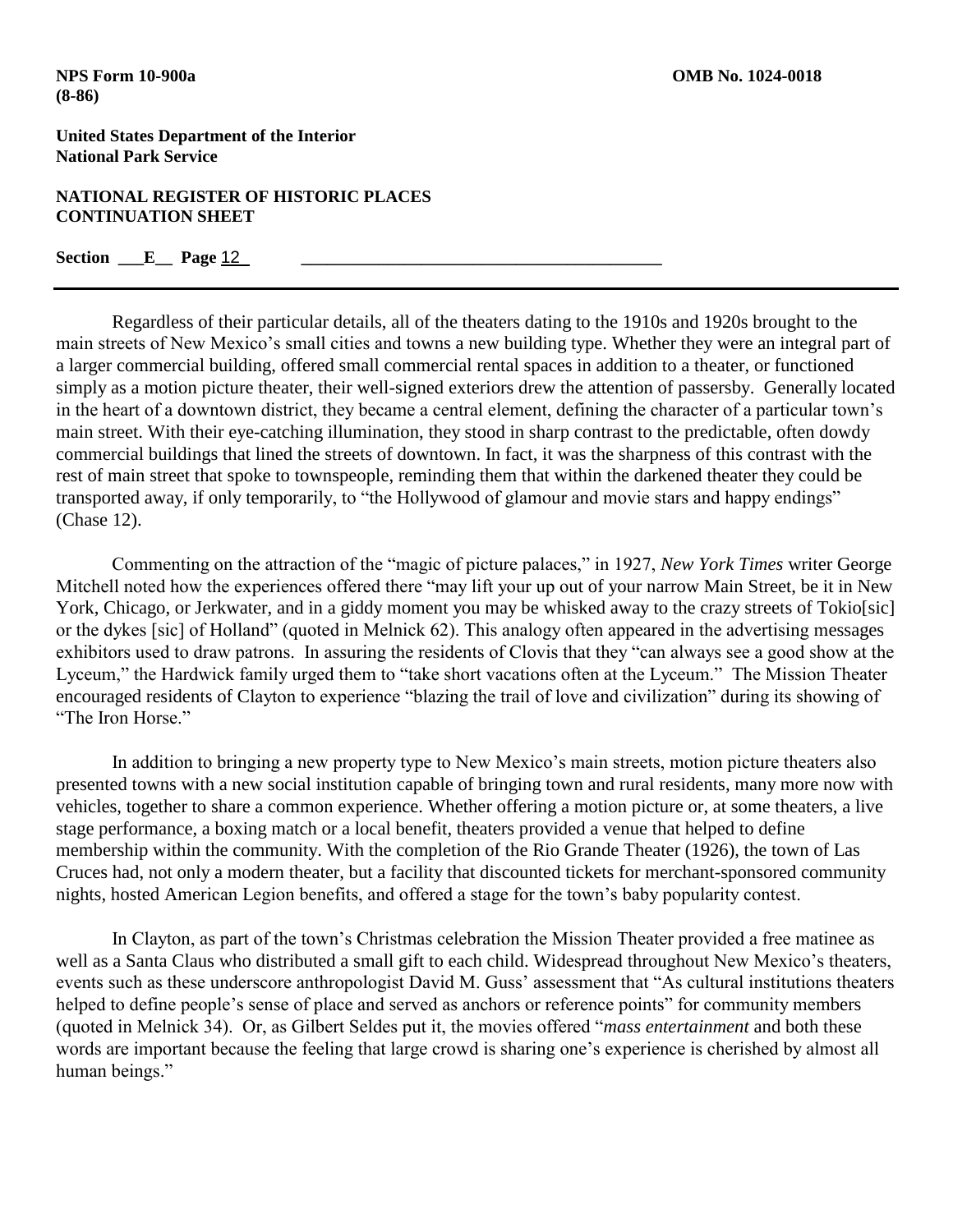### **NATIONAL REGISTER OF HISTORIC PLACES CONTINUATION SHEET**

## **Section \_\_\_E\_\_\_ Page 12**

Regardless of their particular details, all of the theaters dating to the 1910s and 1920s brought to the main streets of New Mexico's small cities and towns a new building type. Whether they were an integral part of a larger commercial building, offered small commercial rental spaces in addition to a theater, or functioned simply as a motion picture theater, their well-signed exteriors drew the attention of passersby. Generally located in the heart of a downtown district, they became a central element, defining the character of a particular town's main street. With their eye-catching illumination, they stood in sharp contrast to the predictable, often dowdy commercial buildings that lined the streets of downtown. In fact, it was the sharpness of this contrast with the rest of main street that spoke to townspeople, reminding them that within the darkened theater they could be transported away, if only temporarily, to "the Hollywood of glamour and movie stars and happy endings" (Chase 12).

Commenting on the attraction of the "magic of picture palaces," in 1927, *New York Times* writer George Mitchell noted how the experiences offered there "may lift your up out of your narrow Main Street, be it in New York, Chicago, or Jerkwater, and in a giddy moment you may be whisked away to the crazy streets of Tokio[sic] or the dykes [sic] of Holland" (quoted in Melnick 62). This analogy often appeared in the advertising messages exhibitors used to draw patrons. In assuring the residents of Clovis that they "can always see a good show at the Lyceum," the Hardwick family urged them to "take short vacations often at the Lyceum." The Mission Theater encouraged residents of Clayton to experience "blazing the trail of love and civilization" during its showing of "The Iron Horse"

In addition to bringing a new property type to New Mexico's main streets, motion picture theaters also presented towns with a new social institution capable of bringing town and rural residents, many more now with vehicles, together to share a common experience. Whether offering a motion picture or, at some theaters, a live stage performance, a boxing match or a local benefit, theaters provided a venue that helped to define membership within the community. With the completion of the Rio Grande Theater (1926), the town of Las Cruces had, not only a modern theater, but a facility that discounted tickets for merchant-sponsored community nights, hosted American Legion benefits, and offered a stage for the town's baby popularity contest.

In Clayton, as part of the town's Christmas celebration the Mission Theater provided a free matinee as well as a Santa Claus who distributed a small gift to each child. Widespread throughout New Mexico's theaters, events such as these underscore anthropologist David M. Guss' assessment that "As cultural institutions theaters helped to define people's sense of place and served as anchors or reference points" for community members (quoted in Melnick 34). Or, as Gilbert Seldes put it, the movies offered "*mass entertainment* and both these words are important because the feeling that large crowd is sharing one's experience is cherished by almost all human beings."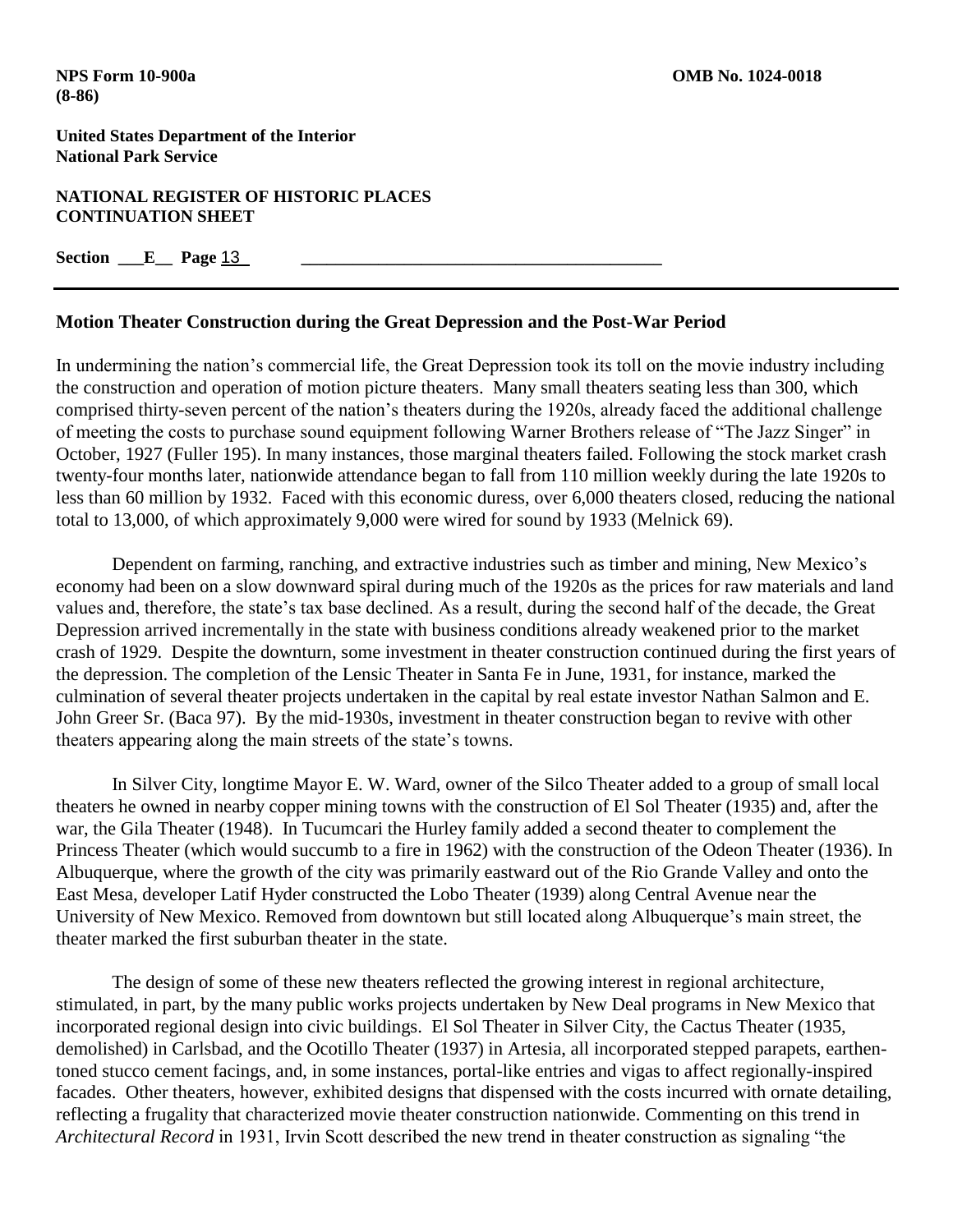### **NATIONAL REGISTER OF HISTORIC PLACES CONTINUATION SHEET**

**Section \_\_\_E\_\_\_ Page 13** 

## **Motion Theater Construction during the Great Depression and the Post-War Period**

In undermining the nation's commercial life, the Great Depression took its toll on the movie industry including the construction and operation of motion picture theaters. Many small theaters seating less than 300, which comprised thirty-seven percent of the nation's theaters during the 1920s, already faced the additional challenge of meeting the costs to purchase sound equipment following Warner Brothers release of "The Jazz Singer" in October, 1927 (Fuller 195). In many instances, those marginal theaters failed. Following the stock market crash twenty-four months later, nationwide attendance began to fall from 110 million weekly during the late 1920s to less than 60 million by 1932. Faced with this economic duress, over 6,000 theaters closed, reducing the national total to 13,000, of which approximately 9,000 were wired for sound by 1933 (Melnick 69).

Dependent on farming, ranching, and extractive industries such as timber and mining, New Mexico's economy had been on a slow downward spiral during much of the 1920s as the prices for raw materials and land values and, therefore, the state's tax base declined. As a result, during the second half of the decade, the Great Depression arrived incrementally in the state with business conditions already weakened prior to the market crash of 1929. Despite the downturn, some investment in theater construction continued during the first years of the depression. The completion of the Lensic Theater in Santa Fe in June, 1931, for instance, marked the culmination of several theater projects undertaken in the capital by real estate investor Nathan Salmon and E. John Greer Sr. (Baca 97). By the mid-1930s, investment in theater construction began to revive with other theaters appearing along the main streets of the state's towns.

In Silver City, longtime Mayor E. W. Ward, owner of the Silco Theater added to a group of small local theaters he owned in nearby copper mining towns with the construction of El Sol Theater (1935) and, after the war, the Gila Theater (1948). In Tucumcari the Hurley family added a second theater to complement the Princess Theater (which would succumb to a fire in 1962) with the construction of the Odeon Theater (1936). In Albuquerque, where the growth of the city was primarily eastward out of the Rio Grande Valley and onto the East Mesa, developer Latif Hyder constructed the Lobo Theater (1939) along Central Avenue near the University of New Mexico. Removed from downtown but still located along Albuquerque's main street, the theater marked the first suburban theater in the state.

The design of some of these new theaters reflected the growing interest in regional architecture, stimulated, in part, by the many public works projects undertaken by New Deal programs in New Mexico that incorporated regional design into civic buildings. El Sol Theater in Silver City, the Cactus Theater (1935, demolished) in Carlsbad, and the Ocotillo Theater (1937) in Artesia, all incorporated stepped parapets, earthentoned stucco cement facings, and, in some instances, portal-like entries and vigas to affect regionally-inspired facades. Other theaters, however, exhibited designs that dispensed with the costs incurred with ornate detailing, reflecting a frugality that characterized movie theater construction nationwide. Commenting on this trend in *Architectural Record* in 1931, Irvin Scott described the new trend in theater construction as signaling "the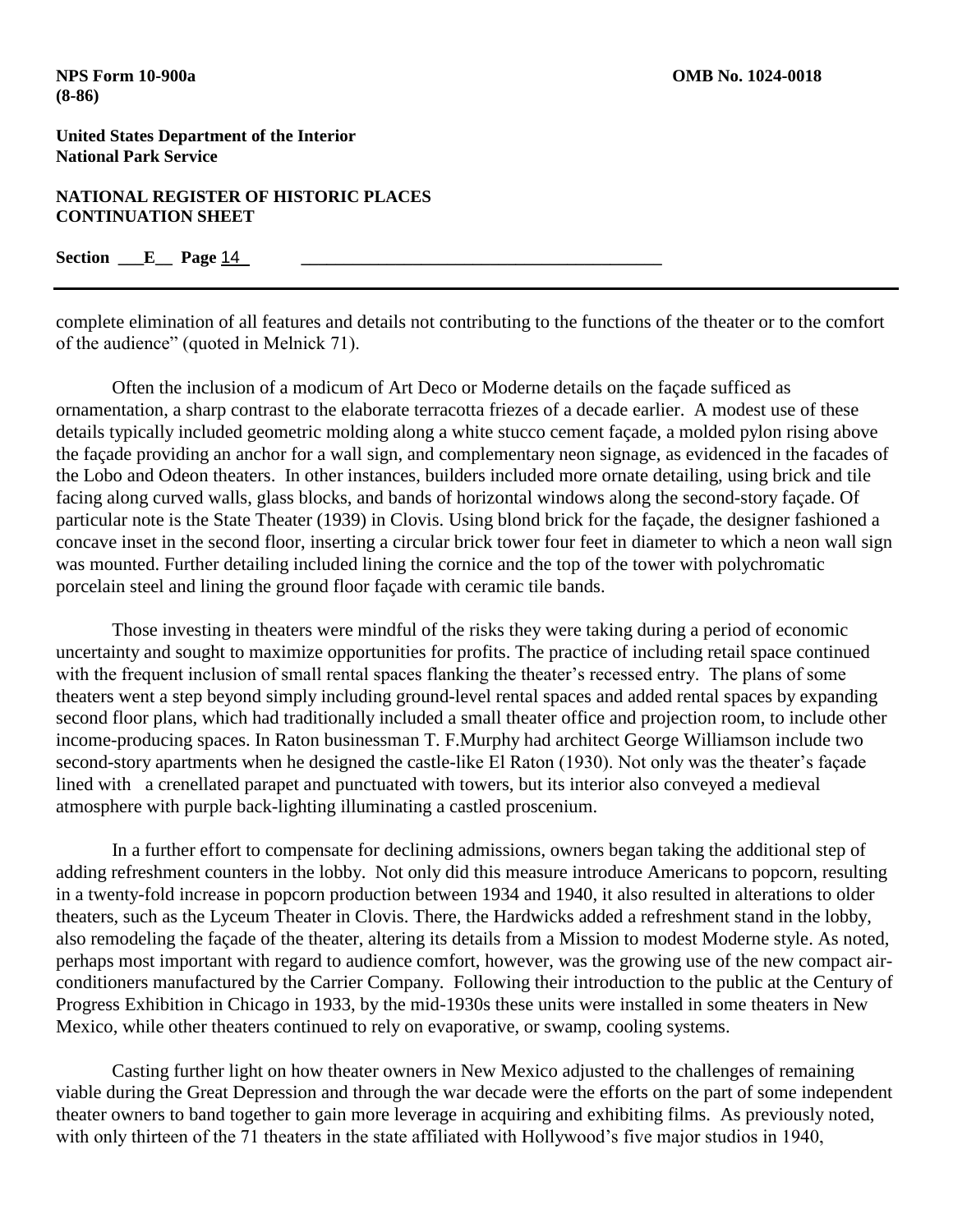### **NATIONAL REGISTER OF HISTORIC PLACES CONTINUATION SHEET**

**Section \_\_\_E\_\_ Page** 14 **\_\_\_\_\_\_\_\_\_\_\_\_\_\_\_\_\_\_\_\_\_\_\_\_\_\_\_\_\_\_\_\_\_\_\_\_\_\_\_\_\_\_**

complete elimination of all features and details not contributing to the functions of the theater or to the comfort of the audience" (quoted in Melnick 71).

Often the inclusion of a modicum of Art Deco or Moderne details on the façade sufficed as ornamentation, a sharp contrast to the elaborate terracotta friezes of a decade earlier. A modest use of these details typically included geometric molding along a white stucco cement façade, a molded pylon rising above the façade providing an anchor for a wall sign, and complementary neon signage, as evidenced in the facades of the Lobo and Odeon theaters. In other instances, builders included more ornate detailing, using brick and tile facing along curved walls, glass blocks, and bands of horizontal windows along the second-story façade. Of particular note is the State Theater (1939) in Clovis. Using blond brick for the façade, the designer fashioned a concave inset in the second floor, inserting a circular brick tower four feet in diameter to which a neon wall sign was mounted. Further detailing included lining the cornice and the top of the tower with polychromatic porcelain steel and lining the ground floor façade with ceramic tile bands.

Those investing in theaters were mindful of the risks they were taking during a period of economic uncertainty and sought to maximize opportunities for profits. The practice of including retail space continued with the frequent inclusion of small rental spaces flanking the theater's recessed entry. The plans of some theaters went a step beyond simply including ground-level rental spaces and added rental spaces by expanding second floor plans, which had traditionally included a small theater office and projection room, to include other income-producing spaces. In Raton businessman T. F.Murphy had architect George Williamson include two second-story apartments when he designed the castle-like El Raton (1930). Not only was the theater's façade lined with a crenellated parapet and punctuated with towers, but its interior also conveyed a medieval atmosphere with purple back-lighting illuminating a castled proscenium.

In a further effort to compensate for declining admissions, owners began taking the additional step of adding refreshment counters in the lobby. Not only did this measure introduce Americans to popcorn, resulting in a twenty-fold increase in popcorn production between 1934 and 1940, it also resulted in alterations to older theaters, such as the Lyceum Theater in Clovis. There, the Hardwicks added a refreshment stand in the lobby, also remodeling the façade of the theater, altering its details from a Mission to modest Moderne style. As noted, perhaps most important with regard to audience comfort, however, was the growing use of the new compact airconditioners manufactured by the Carrier Company. Following their introduction to the public at the Century of Progress Exhibition in Chicago in 1933, by the mid-1930s these units were installed in some theaters in New Mexico, while other theaters continued to rely on evaporative, or swamp, cooling systems.

Casting further light on how theater owners in New Mexico adjusted to the challenges of remaining viable during the Great Depression and through the war decade were the efforts on the part of some independent theater owners to band together to gain more leverage in acquiring and exhibiting films. As previously noted, with only thirteen of the 71 theaters in the state affiliated with Hollywood's five major studios in 1940,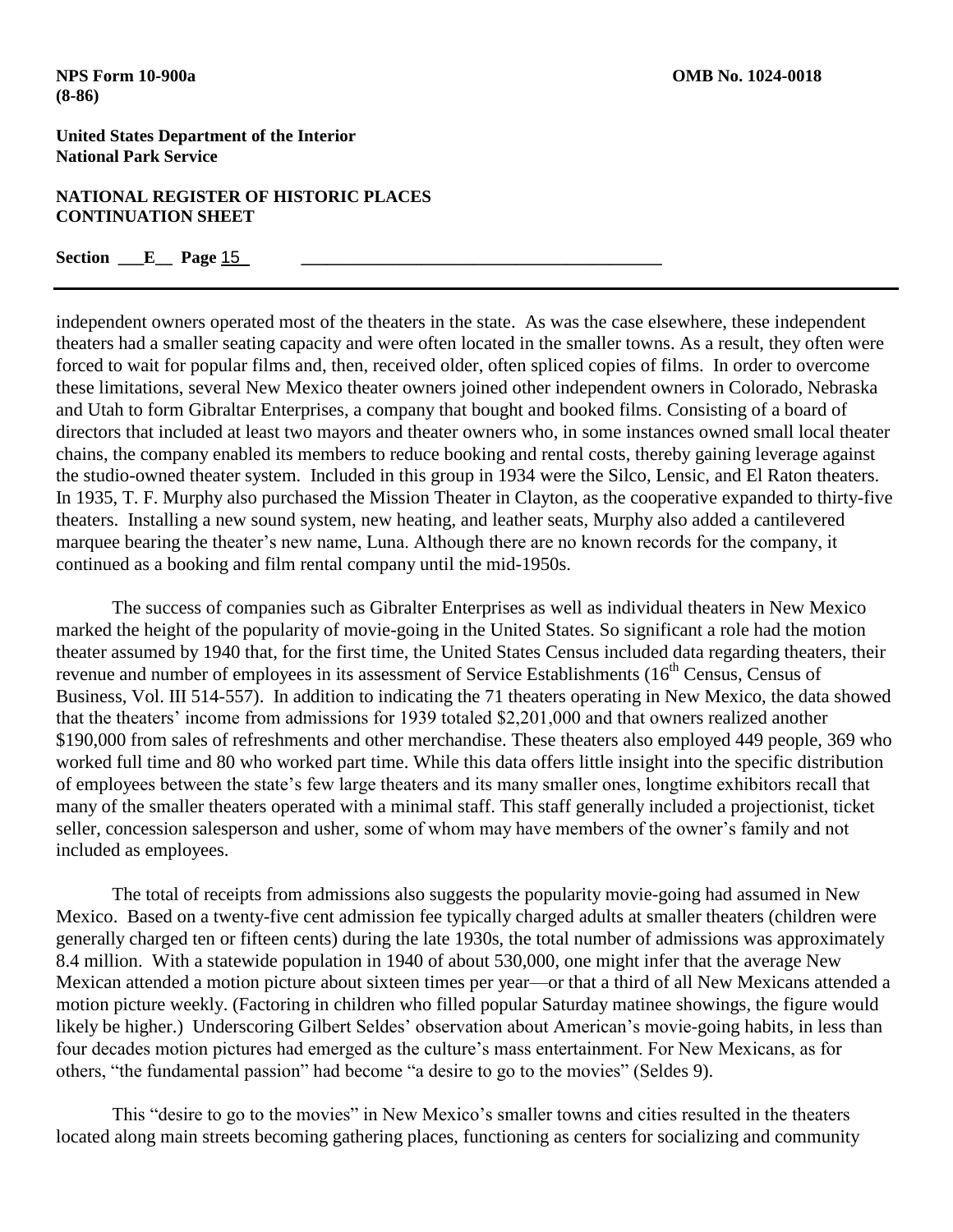### **NATIONAL REGISTER OF HISTORIC PLACES CONTINUATION SHEET**

### **Section \_\_\_E\_\_\_ Page 15**

independent owners operated most of the theaters in the state. As was the case elsewhere, these independent theaters had a smaller seating capacity and were often located in the smaller towns. As a result, they often were forced to wait for popular films and, then, received older, often spliced copies of films. In order to overcome these limitations, several New Mexico theater owners joined other independent owners in Colorado, Nebraska and Utah to form Gibraltar Enterprises, a company that bought and booked films. Consisting of a board of directors that included at least two mayors and theater owners who, in some instances owned small local theater chains, the company enabled its members to reduce booking and rental costs, thereby gaining leverage against the studio-owned theater system. Included in this group in 1934 were the Silco, Lensic, and El Raton theaters. In 1935, T. F. Murphy also purchased the Mission Theater in Clayton, as the cooperative expanded to thirty-five theaters. Installing a new sound system, new heating, and leather seats, Murphy also added a cantilevered marquee bearing the theater's new name, Luna. Although there are no known records for the company, it continued as a booking and film rental company until the mid-1950s.

The success of companies such as Gibralter Enterprises as well as individual theaters in New Mexico marked the height of the popularity of movie-going in the United States. So significant a role had the motion theater assumed by 1940 that, for the first time, the United States Census included data regarding theaters, their revenue and number of employees in its assessment of Service Establishments (16<sup>th</sup> Census, Census of Business, Vol. III 514-557). In addition to indicating the 71 theaters operating in New Mexico, the data showed that the theaters' income from admissions for 1939 totaled \$2,201,000 and that owners realized another \$190,000 from sales of refreshments and other merchandise. These theaters also employed 449 people, 369 who worked full time and 80 who worked part time. While this data offers little insight into the specific distribution of employees between the state's few large theaters and its many smaller ones, longtime exhibitors recall that many of the smaller theaters operated with a minimal staff. This staff generally included a projectionist, ticket seller, concession salesperson and usher, some of whom may have members of the owner's family and not included as employees.

The total of receipts from admissions also suggests the popularity movie-going had assumed in New Mexico. Based on a twenty-five cent admission fee typically charged adults at smaller theaters (children were generally charged ten or fifteen cents) during the late 1930s, the total number of admissions was approximately 8.4 million. With a statewide population in 1940 of about 530,000, one might infer that the average New Mexican attended a motion picture about sixteen times per year—or that a third of all New Mexicans attended a motion picture weekly. (Factoring in children who filled popular Saturday matinee showings, the figure would likely be higher.) Underscoring Gilbert Seldes' observation about American's movie-going habits, in less than four decades motion pictures had emerged as the culture's mass entertainment. For New Mexicans, as for others, "the fundamental passion" had become "a desire to go to the movies" (Seldes 9).

This "desire to go to the movies" in New Mexico's smaller towns and cities resulted in the theaters located along main streets becoming gathering places, functioning as centers for socializing and community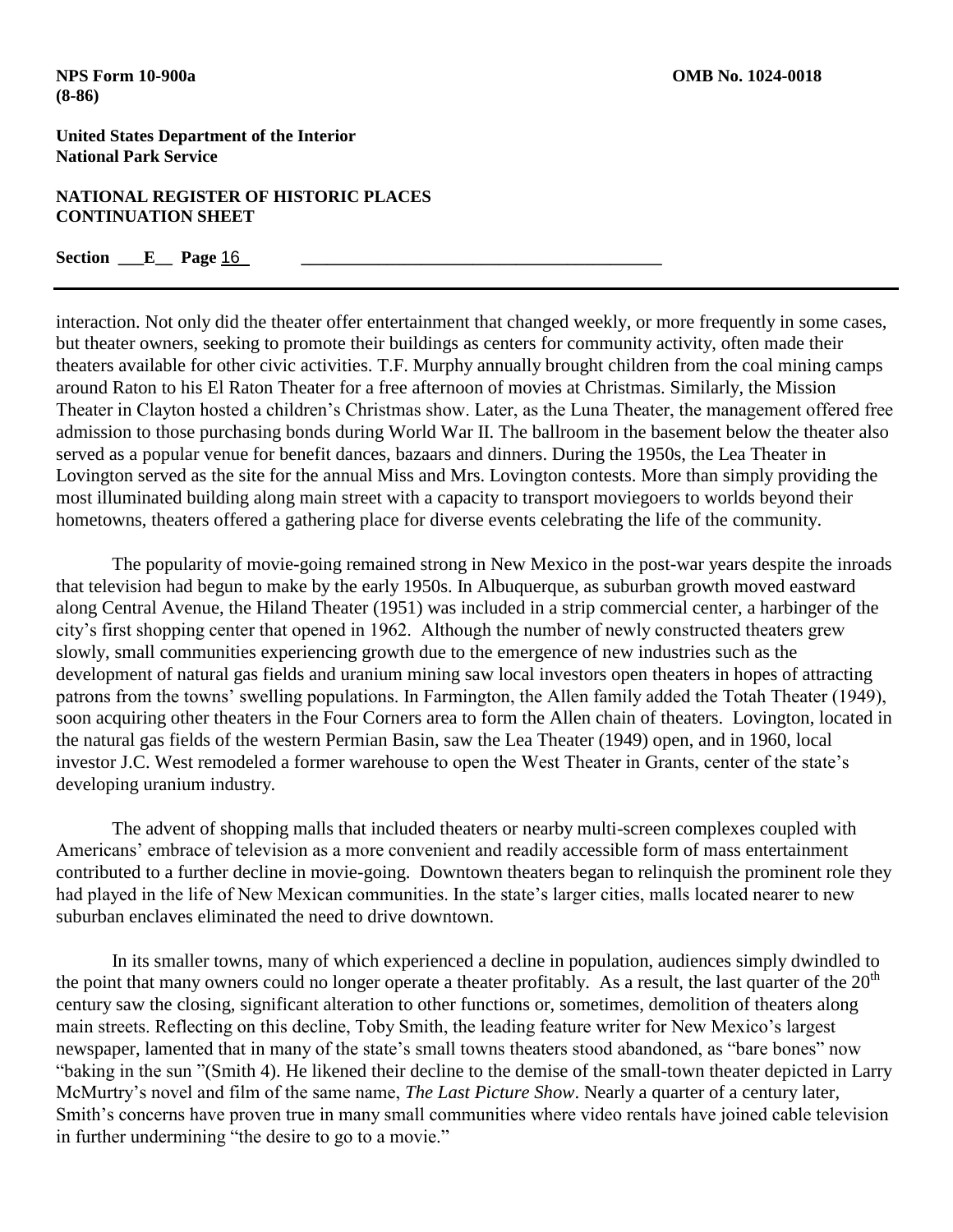### **NATIONAL REGISTER OF HISTORIC PLACES CONTINUATION SHEET**

## **Section \_\_\_E\_\_ Page** 16 **\_\_\_\_\_\_\_\_\_\_\_\_\_\_\_\_\_\_\_\_\_\_\_\_\_\_\_\_\_\_\_\_\_\_\_\_\_\_\_\_\_\_**

interaction. Not only did the theater offer entertainment that changed weekly, or more frequently in some cases, but theater owners, seeking to promote their buildings as centers for community activity, often made their theaters available for other civic activities. T.F. Murphy annually brought children from the coal mining camps around Raton to his El Raton Theater for a free afternoon of movies at Christmas. Similarly, the Mission Theater in Clayton hosted a children's Christmas show. Later, as the Luna Theater, the management offered free admission to those purchasing bonds during World War II. The ballroom in the basement below the theater also served as a popular venue for benefit dances, bazaars and dinners. During the 1950s, the Lea Theater in Lovington served as the site for the annual Miss and Mrs. Lovington contests. More than simply providing the most illuminated building along main street with a capacity to transport moviegoers to worlds beyond their hometowns, theaters offered a gathering place for diverse events celebrating the life of the community.

The popularity of movie-going remained strong in New Mexico in the post-war years despite the inroads that television had begun to make by the early 1950s. In Albuquerque, as suburban growth moved eastward along Central Avenue, the Hiland Theater (1951) was included in a strip commercial center, a harbinger of the city's first shopping center that opened in 1962. Although the number of newly constructed theaters grew slowly, small communities experiencing growth due to the emergence of new industries such as the development of natural gas fields and uranium mining saw local investors open theaters in hopes of attracting patrons from the towns' swelling populations. In Farmington, the Allen family added the Totah Theater (1949), soon acquiring other theaters in the Four Corners area to form the Allen chain of theaters. Lovington, located in the natural gas fields of the western Permian Basin, saw the Lea Theater (1949) open, and in 1960, local investor J.C. West remodeled a former warehouse to open the West Theater in Grants, center of the state's developing uranium industry.

The advent of shopping malls that included theaters or nearby multi-screen complexes coupled with Americans' embrace of television as a more convenient and readily accessible form of mass entertainment contributed to a further decline in movie-going. Downtown theaters began to relinquish the prominent role they had played in the life of New Mexican communities. In the state's larger cities, malls located nearer to new suburban enclaves eliminated the need to drive downtown.

In its smaller towns, many of which experienced a decline in population, audiences simply dwindled to the point that many owners could no longer operate a theater profitably. As a result, the last quarter of the  $20<sup>th</sup>$ century saw the closing, significant alteration to other functions or, sometimes, demolition of theaters along main streets. Reflecting on this decline, Toby Smith, the leading feature writer for New Mexico's largest newspaper, lamented that in many of the state's small towns theaters stood abandoned, as "bare bones" now "baking in the sun "(Smith 4). He likened their decline to the demise of the small-town theater depicted in Larry McMurtry's novel and film of the same name, *The Last Picture Show*. Nearly a quarter of a century later, Smith's concerns have proven true in many small communities where video rentals have joined cable television in further undermining "the desire to go to a movie."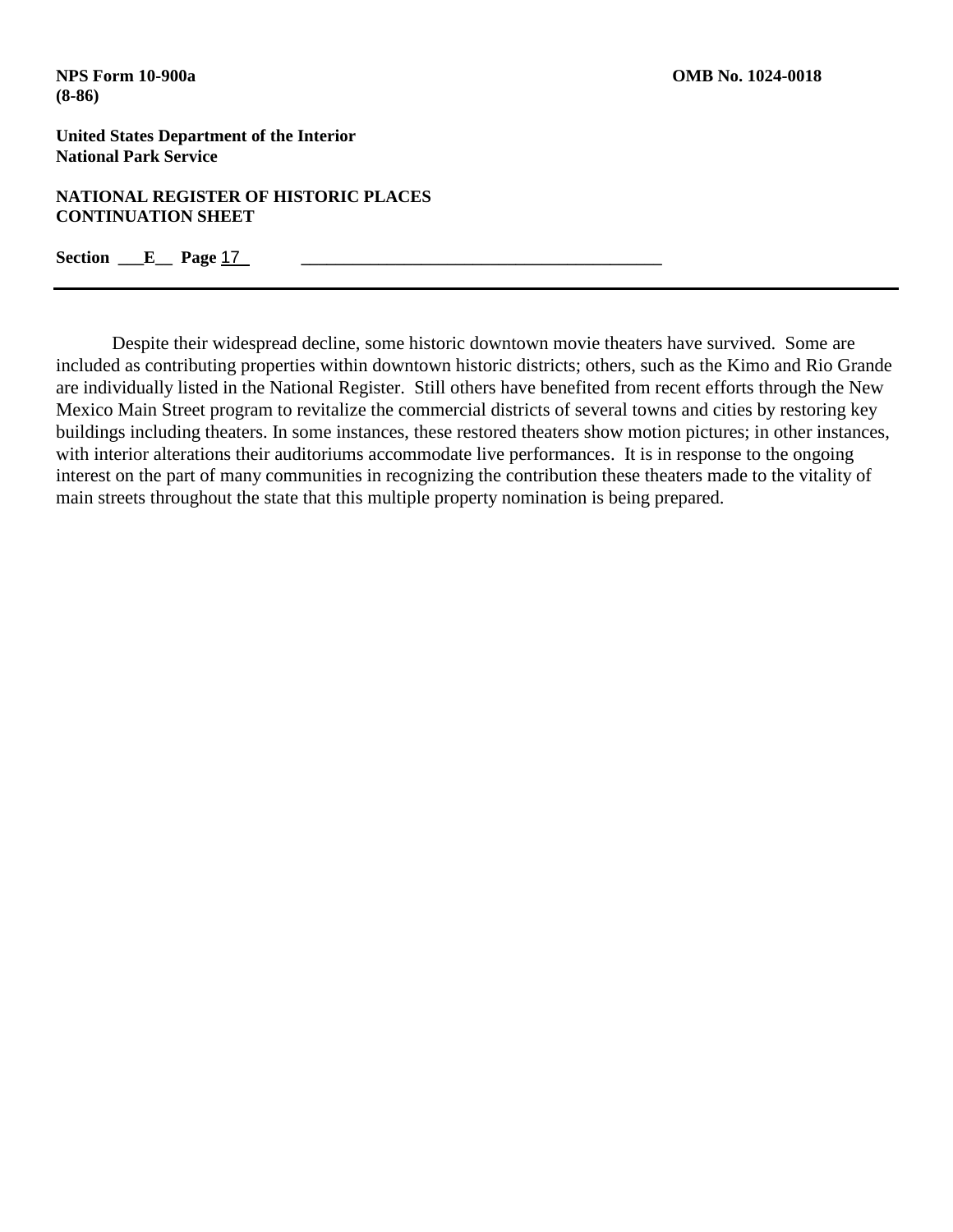**NATIONAL REGISTER OF HISTORIC PLACES CONTINUATION SHEET**

**Section \_\_\_E\_\_\_ Page 17** 

Despite their widespread decline, some historic downtown movie theaters have survived. Some are included as contributing properties within downtown historic districts; others, such as the Kimo and Rio Grande are individually listed in the National Register. Still others have benefited from recent efforts through the New Mexico Main Street program to revitalize the commercial districts of several towns and cities by restoring key buildings including theaters. In some instances, these restored theaters show motion pictures; in other instances, with interior alterations their auditoriums accommodate live performances. It is in response to the ongoing interest on the part of many communities in recognizing the contribution these theaters made to the vitality of main streets throughout the state that this multiple property nomination is being prepared.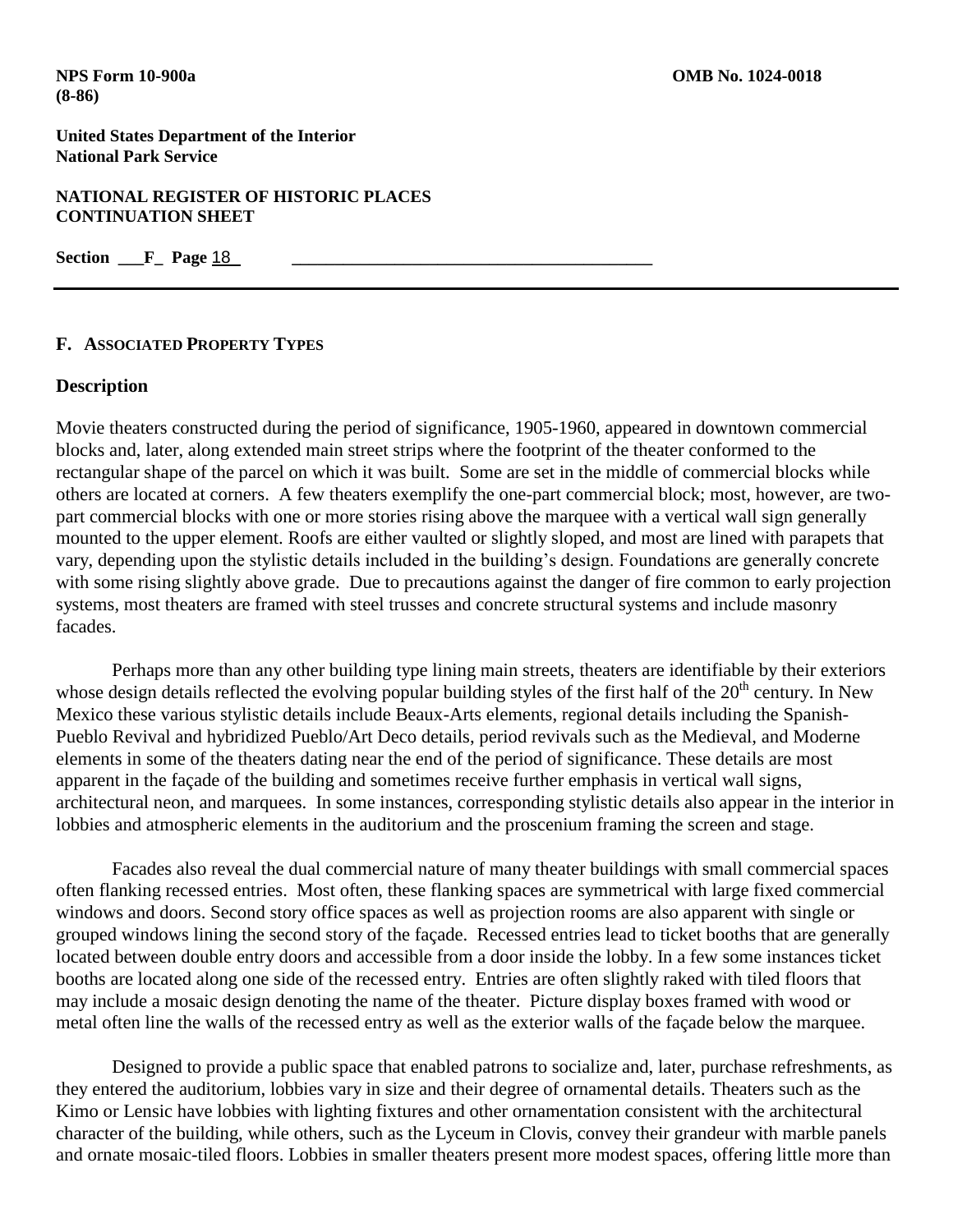**NATIONAL REGISTER OF HISTORIC PLACES CONTINUATION SHEET**

**Section \_\_\_F\_ Page 18** 

#### **F. ASSOCIATED PROPERTY TYPES**

#### **Description**

Movie theaters constructed during the period of significance, 1905-1960, appeared in downtown commercial blocks and, later, along extended main street strips where the footprint of the theater conformed to the rectangular shape of the parcel on which it was built. Some are set in the middle of commercial blocks while others are located at corners. A few theaters exemplify the one-part commercial block; most, however, are twopart commercial blocks with one or more stories rising above the marquee with a vertical wall sign generally mounted to the upper element. Roofs are either vaulted or slightly sloped, and most are lined with parapets that vary, depending upon the stylistic details included in the building's design. Foundations are generally concrete with some rising slightly above grade. Due to precautions against the danger of fire common to early projection systems, most theaters are framed with steel trusses and concrete structural systems and include masonry facades.

Perhaps more than any other building type lining main streets, theaters are identifiable by their exteriors whose design details reflected the evolving popular building styles of the first half of the  $20<sup>th</sup>$  century. In New Mexico these various stylistic details include Beaux-Arts elements, regional details including the Spanish-Pueblo Revival and hybridized Pueblo/Art Deco details, period revivals such as the Medieval, and Moderne elements in some of the theaters dating near the end of the period of significance. These details are most apparent in the façade of the building and sometimes receive further emphasis in vertical wall signs, architectural neon, and marquees. In some instances, corresponding stylistic details also appear in the interior in lobbies and atmospheric elements in the auditorium and the proscenium framing the screen and stage.

Facades also reveal the dual commercial nature of many theater buildings with small commercial spaces often flanking recessed entries. Most often, these flanking spaces are symmetrical with large fixed commercial windows and doors. Second story office spaces as well as projection rooms are also apparent with single or grouped windows lining the second story of the façade. Recessed entries lead to ticket booths that are generally located between double entry doors and accessible from a door inside the lobby. In a few some instances ticket booths are located along one side of the recessed entry. Entries are often slightly raked with tiled floors that may include a mosaic design denoting the name of the theater. Picture display boxes framed with wood or metal often line the walls of the recessed entry as well as the exterior walls of the façade below the marquee.

Designed to provide a public space that enabled patrons to socialize and, later, purchase refreshments, as they entered the auditorium, lobbies vary in size and their degree of ornamental details. Theaters such as the Kimo or Lensic have lobbies with lighting fixtures and other ornamentation consistent with the architectural character of the building, while others, such as the Lyceum in Clovis, convey their grandeur with marble panels and ornate mosaic-tiled floors. Lobbies in smaller theaters present more modest spaces, offering little more than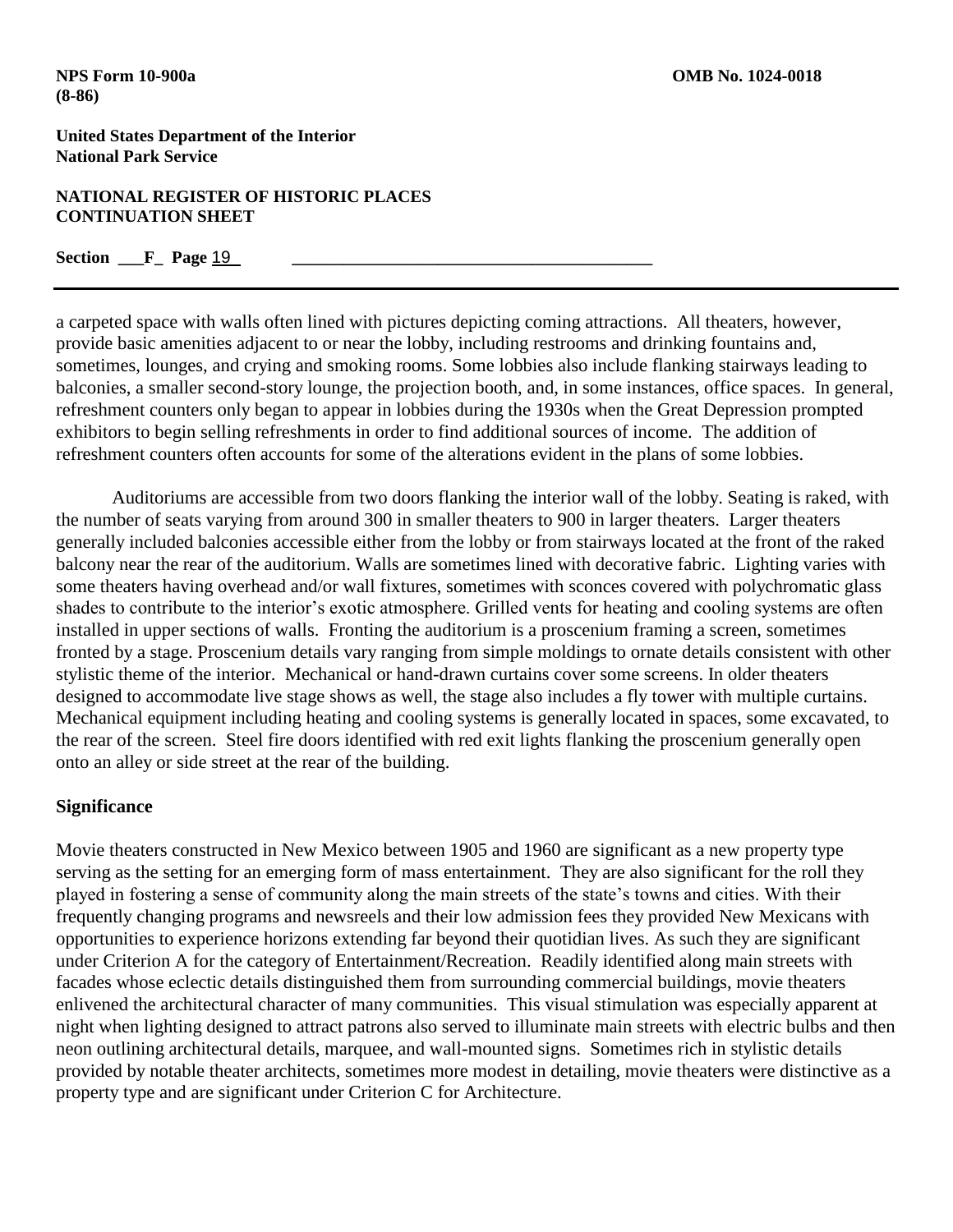### **NATIONAL REGISTER OF HISTORIC PLACES CONTINUATION SHEET**

## **Section F\_ Page 19**

a carpeted space with walls often lined with pictures depicting coming attractions. All theaters, however, provide basic amenities adjacent to or near the lobby, including restrooms and drinking fountains and, sometimes, lounges, and crying and smoking rooms. Some lobbies also include flanking stairways leading to balconies, a smaller second-story lounge, the projection booth, and, in some instances, office spaces. In general, refreshment counters only began to appear in lobbies during the 1930s when the Great Depression prompted exhibitors to begin selling refreshments in order to find additional sources of income. The addition of refreshment counters often accounts for some of the alterations evident in the plans of some lobbies.

Auditoriums are accessible from two doors flanking the interior wall of the lobby. Seating is raked, with the number of seats varying from around 300 in smaller theaters to 900 in larger theaters. Larger theaters generally included balconies accessible either from the lobby or from stairways located at the front of the raked balcony near the rear of the auditorium. Walls are sometimes lined with decorative fabric. Lighting varies with some theaters having overhead and/or wall fixtures, sometimes with sconces covered with polychromatic glass shades to contribute to the interior's exotic atmosphere. Grilled vents for heating and cooling systems are often installed in upper sections of walls. Fronting the auditorium is a proscenium framing a screen, sometimes fronted by a stage. Proscenium details vary ranging from simple moldings to ornate details consistent with other stylistic theme of the interior. Mechanical or hand-drawn curtains cover some screens. In older theaters designed to accommodate live stage shows as well, the stage also includes a fly tower with multiple curtains. Mechanical equipment including heating and cooling systems is generally located in spaces, some excavated, to the rear of the screen. Steel fire doors identified with red exit lights flanking the proscenium generally open onto an alley or side street at the rear of the building.

## **Significance**

Movie theaters constructed in New Mexico between 1905 and 1960 are significant as a new property type serving as the setting for an emerging form of mass entertainment. They are also significant for the roll they played in fostering a sense of community along the main streets of the state's towns and cities. With their frequently changing programs and newsreels and their low admission fees they provided New Mexicans with opportunities to experience horizons extending far beyond their quotidian lives. As such they are significant under Criterion A for the category of Entertainment/Recreation. Readily identified along main streets with facades whose eclectic details distinguished them from surrounding commercial buildings, movie theaters enlivened the architectural character of many communities. This visual stimulation was especially apparent at night when lighting designed to attract patrons also served to illuminate main streets with electric bulbs and then neon outlining architectural details, marquee, and wall-mounted signs. Sometimes rich in stylistic details provided by notable theater architects, sometimes more modest in detailing, movie theaters were distinctive as a property type and are significant under Criterion C for Architecture.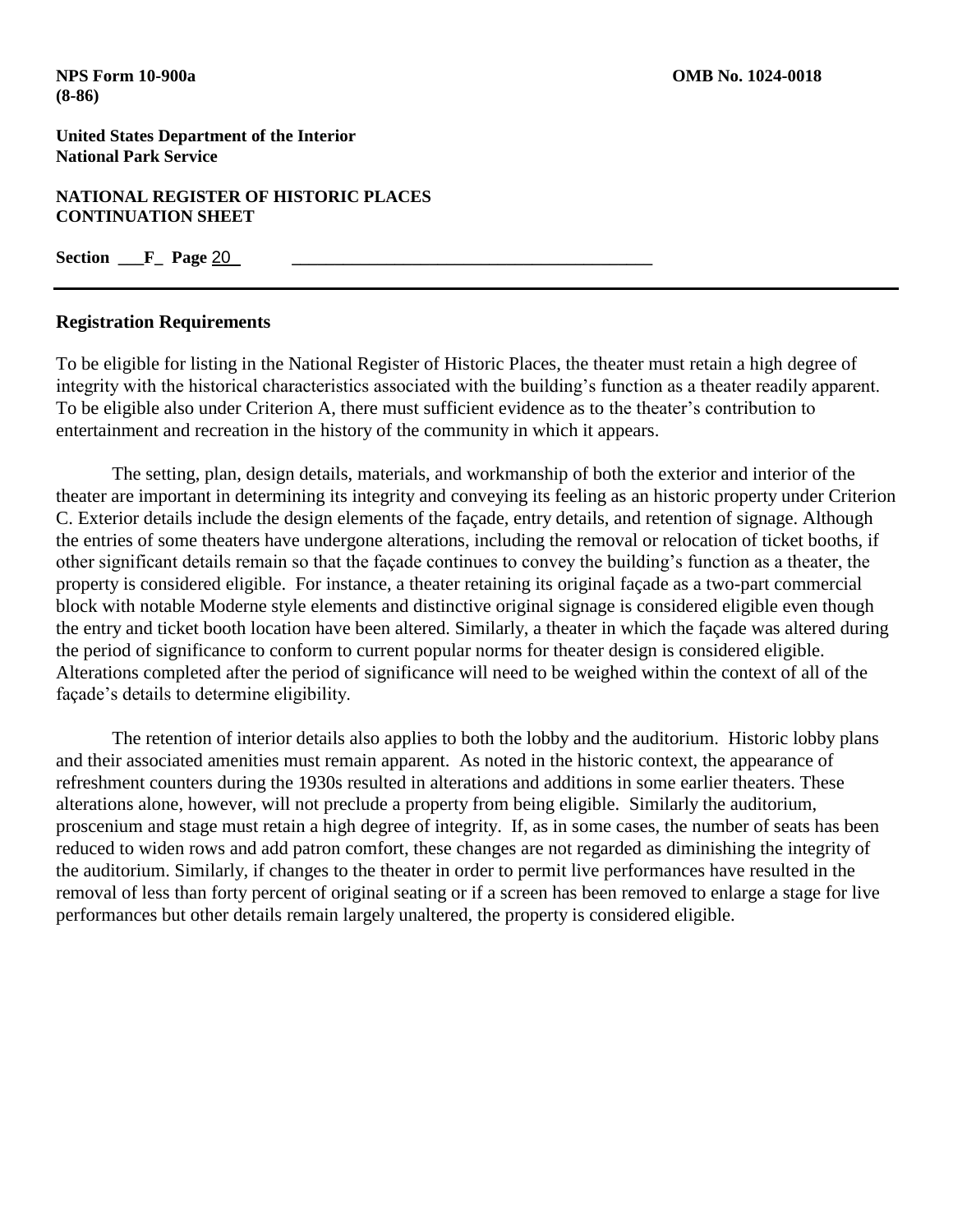**NATIONAL REGISTER OF HISTORIC PLACES CONTINUATION SHEET**

**Section \_\_\_F\_ Page 20** 

### **Registration Requirements**

To be eligible for listing in the National Register of Historic Places, the theater must retain a high degree of integrity with the historical characteristics associated with the building's function as a theater readily apparent. To be eligible also under Criterion A, there must sufficient evidence as to the theater's contribution to entertainment and recreation in the history of the community in which it appears.

The setting, plan, design details, materials, and workmanship of both the exterior and interior of the theater are important in determining its integrity and conveying its feeling as an historic property under Criterion C. Exterior details include the design elements of the façade, entry details, and retention of signage. Although the entries of some theaters have undergone alterations, including the removal or relocation of ticket booths, if other significant details remain so that the façade continues to convey the building's function as a theater, the property is considered eligible. For instance, a theater retaining its original façade as a two-part commercial block with notable Moderne style elements and distinctive original signage is considered eligible even though the entry and ticket booth location have been altered. Similarly, a theater in which the façade was altered during the period of significance to conform to current popular norms for theater design is considered eligible. Alterations completed after the period of significance will need to be weighed within the context of all of the façade's details to determine eligibility.

The retention of interior details also applies to both the lobby and the auditorium. Historic lobby plans and their associated amenities must remain apparent. As noted in the historic context, the appearance of refreshment counters during the 1930s resulted in alterations and additions in some earlier theaters. These alterations alone, however, will not preclude a property from being eligible. Similarly the auditorium, proscenium and stage must retain a high degree of integrity. If, as in some cases, the number of seats has been reduced to widen rows and add patron comfort, these changes are not regarded as diminishing the integrity of the auditorium. Similarly, if changes to the theater in order to permit live performances have resulted in the removal of less than forty percent of original seating or if a screen has been removed to enlarge a stage for live performances but other details remain largely unaltered, the property is considered eligible.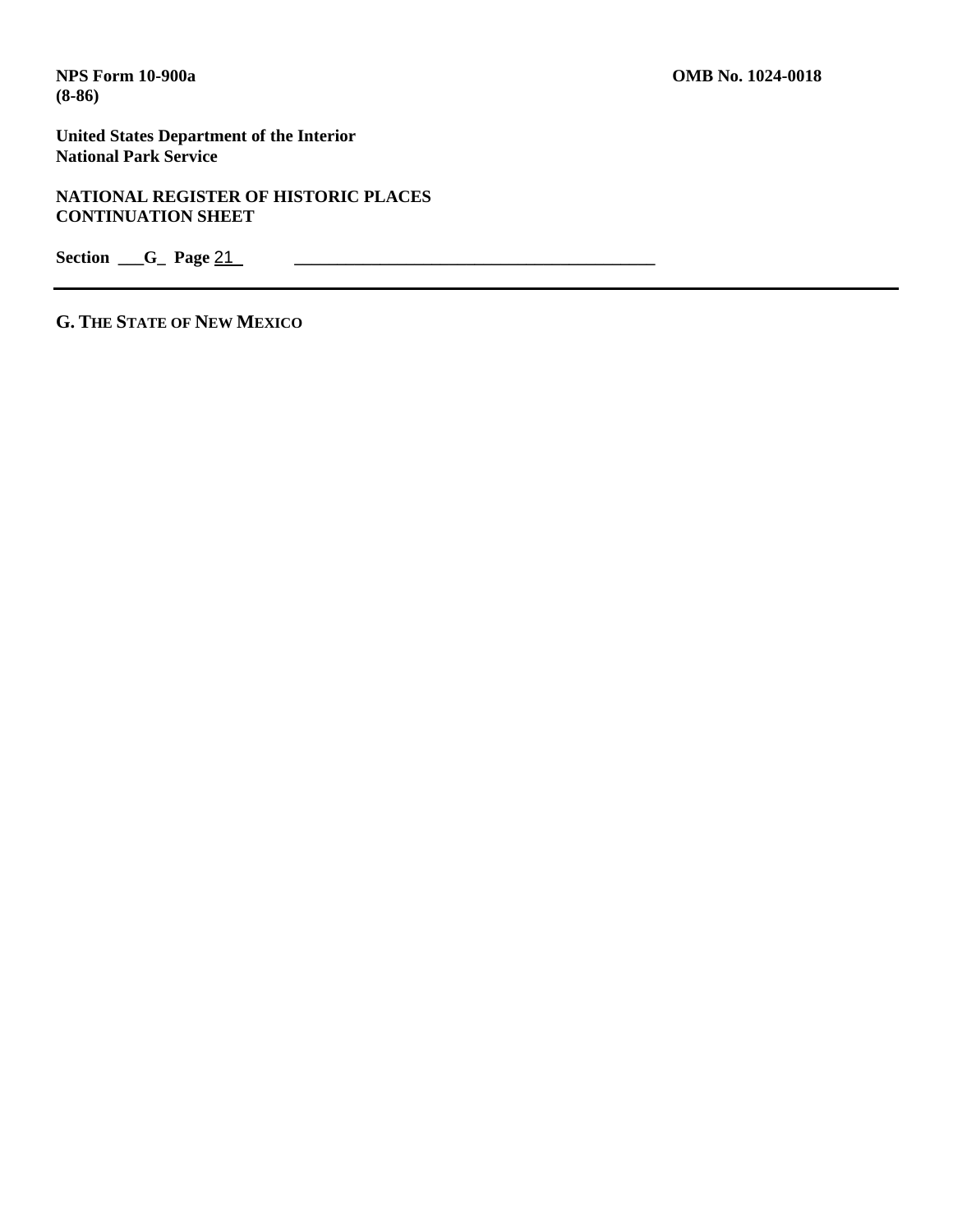**United States Department of the Interior National Park Service**

**NATIONAL REGISTER OF HISTORIC PLACES CONTINUATION SHEET**

Section <u>G</u> Page 21

**G. THE STATE OF NEW MEXICO**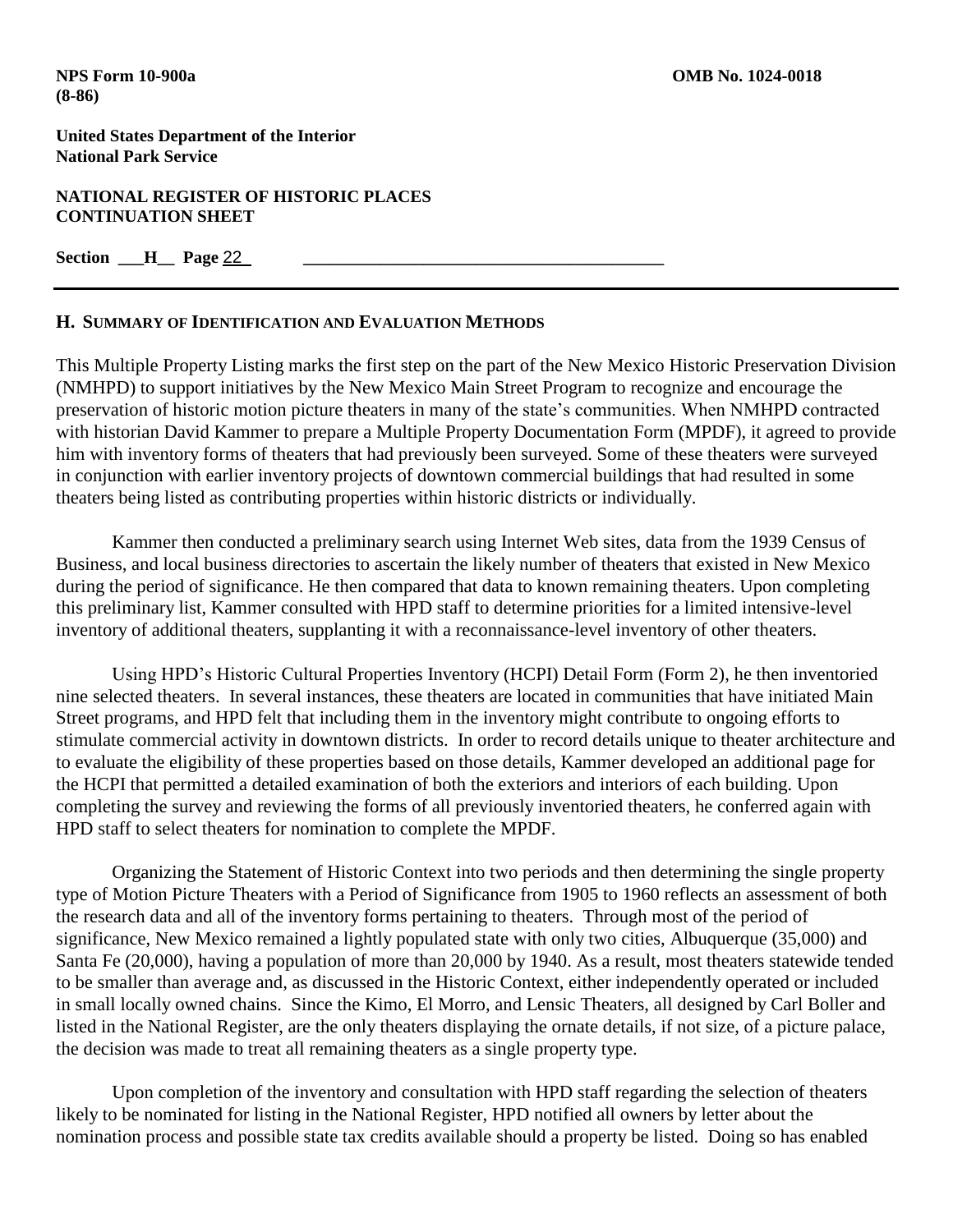**NATIONAL REGISTER OF HISTORIC PLACES CONTINUATION SHEET**

**Section \_\_\_H\_\_\_ Page 22** 

## **H. SUMMARY OF IDENTIFICATION AND EVALUATION METHODS**

This Multiple Property Listing marks the first step on the part of the New Mexico Historic Preservation Division (NMHPD) to support initiatives by the New Mexico Main Street Program to recognize and encourage the preservation of historic motion picture theaters in many of the state's communities. When NMHPD contracted with historian David Kammer to prepare a Multiple Property Documentation Form (MPDF), it agreed to provide him with inventory forms of theaters that had previously been surveyed. Some of these theaters were surveyed in conjunction with earlier inventory projects of downtown commercial buildings that had resulted in some theaters being listed as contributing properties within historic districts or individually.

Kammer then conducted a preliminary search using Internet Web sites, data from the 1939 Census of Business, and local business directories to ascertain the likely number of theaters that existed in New Mexico during the period of significance. He then compared that data to known remaining theaters. Upon completing this preliminary list, Kammer consulted with HPD staff to determine priorities for a limited intensive-level inventory of additional theaters, supplanting it with a reconnaissance-level inventory of other theaters.

Using HPD's Historic Cultural Properties Inventory (HCPI) Detail Form (Form 2), he then inventoried nine selected theaters. In several instances, these theaters are located in communities that have initiated Main Street programs, and HPD felt that including them in the inventory might contribute to ongoing efforts to stimulate commercial activity in downtown districts. In order to record details unique to theater architecture and to evaluate the eligibility of these properties based on those details, Kammer developed an additional page for the HCPI that permitted a detailed examination of both the exteriors and interiors of each building. Upon completing the survey and reviewing the forms of all previously inventoried theaters, he conferred again with HPD staff to select theaters for nomination to complete the MPDF.

Organizing the Statement of Historic Context into two periods and then determining the single property type of Motion Picture Theaters with a Period of Significance from 1905 to 1960 reflects an assessment of both the research data and all of the inventory forms pertaining to theaters. Through most of the period of significance, New Mexico remained a lightly populated state with only two cities, Albuquerque (35,000) and Santa Fe (20,000), having a population of more than 20,000 by 1940. As a result, most theaters statewide tended to be smaller than average and, as discussed in the Historic Context, either independently operated or included in small locally owned chains. Since the Kimo, El Morro, and Lensic Theaters, all designed by Carl Boller and listed in the National Register, are the only theaters displaying the ornate details, if not size, of a picture palace, the decision was made to treat all remaining theaters as a single property type.

Upon completion of the inventory and consultation with HPD staff regarding the selection of theaters likely to be nominated for listing in the National Register, HPD notified all owners by letter about the nomination process and possible state tax credits available should a property be listed. Doing so has enabled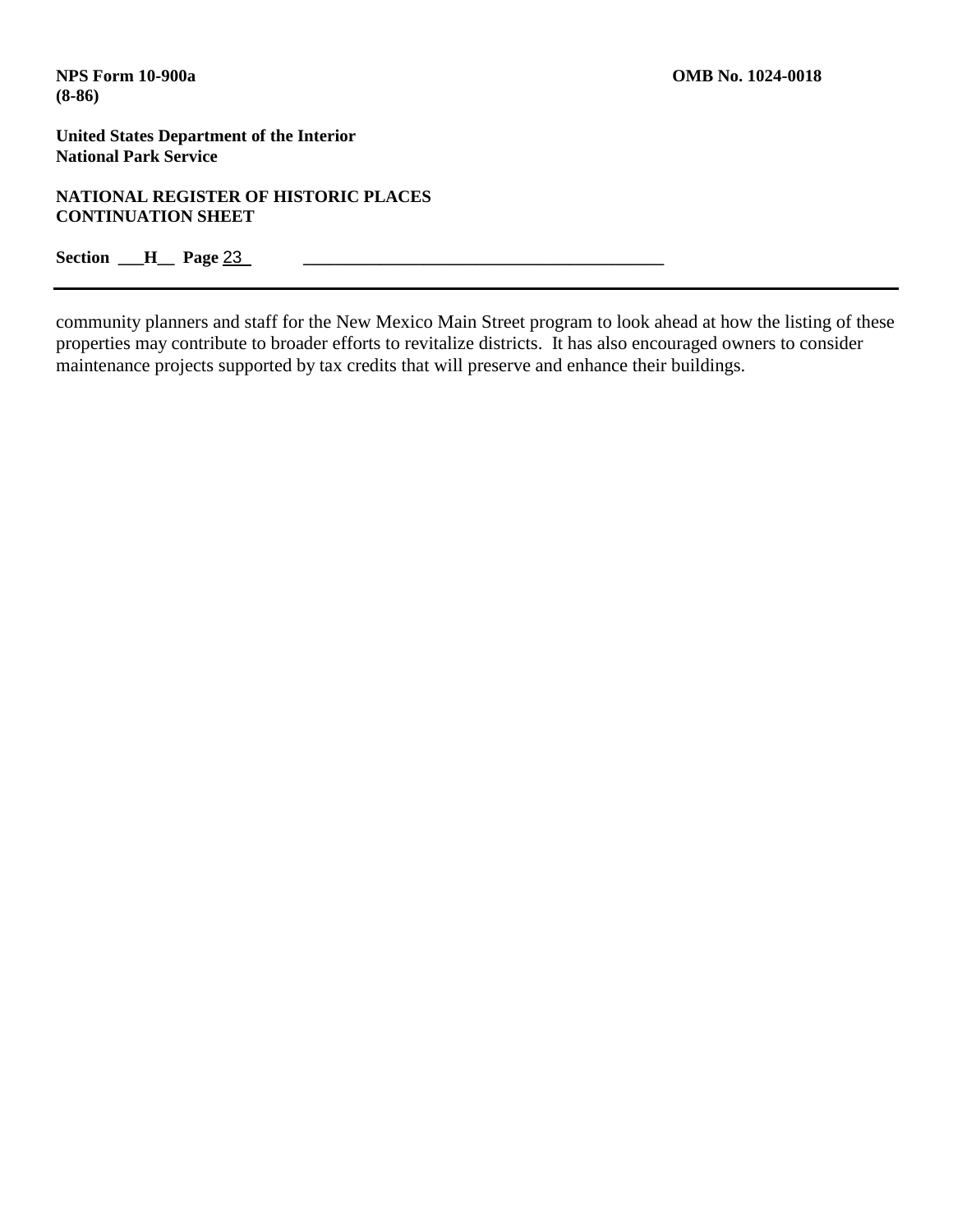**United States Department of the Interior National Park Service**

**NATIONAL REGISTER OF HISTORIC PLACES CONTINUATION SHEET**

**Section \_\_\_H\_\_\_ Page 23** 

community planners and staff for the New Mexico Main Street program to look ahead at how the listing of these properties may contribute to broader efforts to revitalize districts. It has also encouraged owners to consider maintenance projects supported by tax credits that will preserve and enhance their buildings.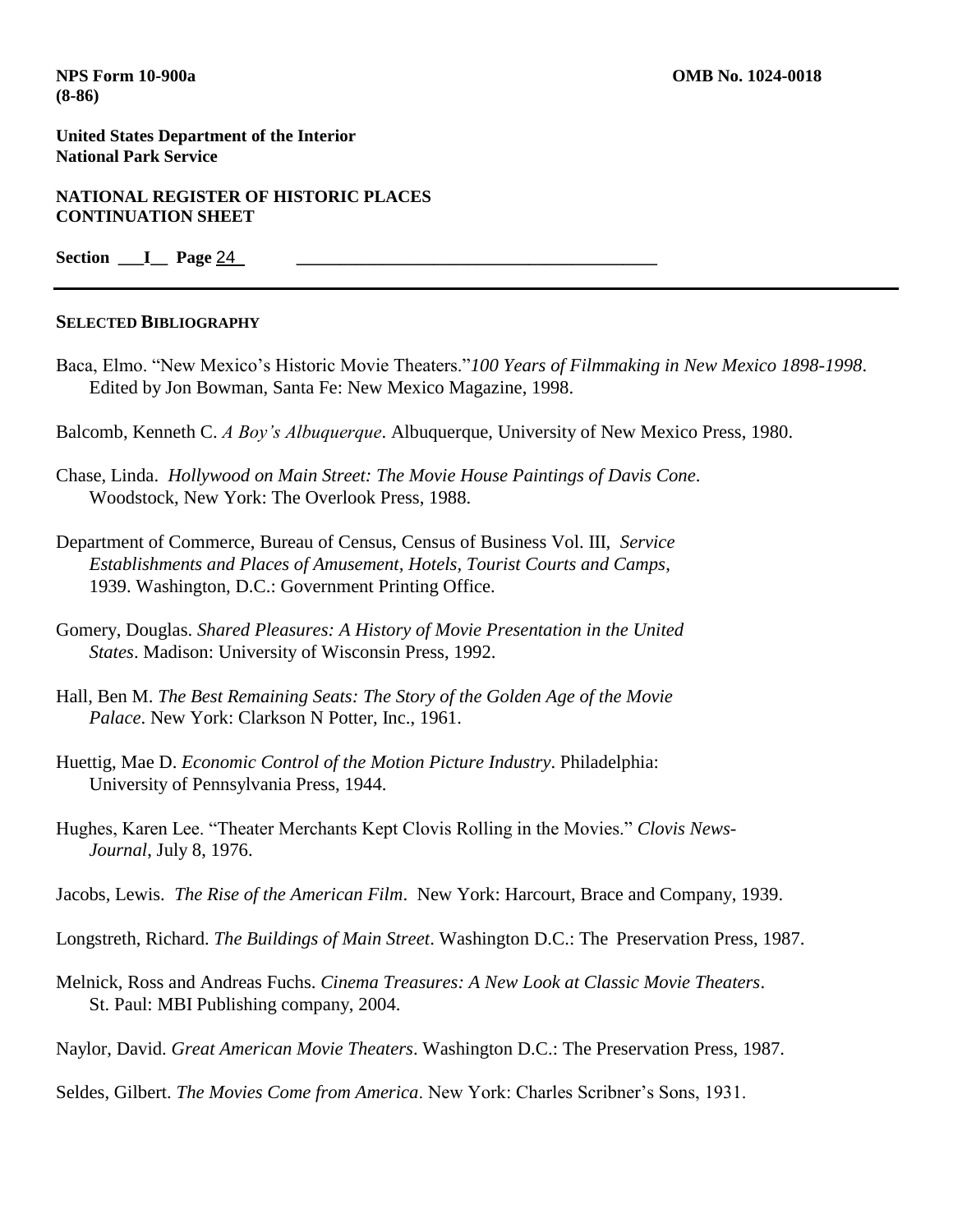**United States Department of the Interior National Park Service**

**NATIONAL REGISTER OF HISTORIC PLACES CONTINUATION SHEET**

**Section \_\_\_I\_\_ Page** 24 **\_\_\_\_\_\_\_\_\_\_\_\_\_\_\_\_\_\_\_\_\_\_\_\_\_\_\_\_\_\_\_\_\_\_\_\_\_\_\_\_\_\_**

#### **SELECTED BIBLIOGRAPHY**

Baca, Elmo. "New Mexico's Historic Movie Theaters."*100 Years of Filmmaking in New Mexico 1898-1998*. Edited by Jon Bowman, Santa Fe: New Mexico Magazine, 1998.

Balcomb, Kenneth C. *A Boy's Albuquerque*. Albuquerque, University of New Mexico Press, 1980.

- Chase, Linda. *Hollywood on Main Street: The Movie House Paintings of Davis Cone*. Woodstock, New York: The Overlook Press, 1988.
- Department of Commerce, Bureau of Census, Census of Business Vol. III, *Service Establishments and Places of Amusement, Hotels, Tourist Courts and Camps*, 1939. Washington, D.C.: Government Printing Office.
- Gomery, Douglas. *Shared Pleasures: A History of Movie Presentation in the United States*. Madison: University of Wisconsin Press, 1992.
- Hall, Ben M. *The Best Remaining Seats: The Story of the Golden Age of the Movie Palace*. New York: Clarkson N Potter, Inc., 1961.
- Huettig, Mae D. *Economic Control of the Motion Picture Industry*. Philadelphia: University of Pennsylvania Press, 1944.
- Hughes, Karen Lee. "Theater Merchants Kept Clovis Rolling in the Movies." *Clovis News-Journal*, July 8, 1976.
- Jacobs, Lewis. *The Rise of the American Film*. New York: Harcourt, Brace and Company, 1939.
- Longstreth, Richard. *The Buildings of Main Street*. Washington D.C.: The Preservation Press, 1987.
- Melnick, Ross and Andreas Fuchs. *Cinema Treasures: A New Look at Classic Movie Theaters*. St. Paul: MBI Publishing company, 2004.
- Naylor, David. *Great American Movie Theaters*. Washington D.C.: The Preservation Press, 1987.
- Seldes, Gilbert. *The Movies Come from America*. New York: Charles Scribner's Sons, 1931.